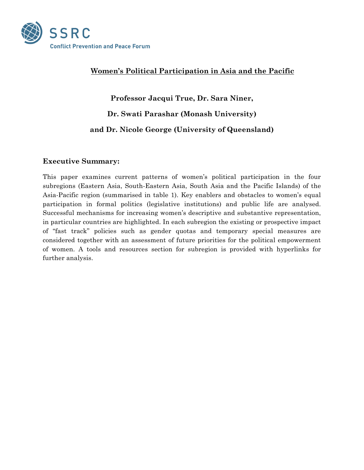

# **Women's Political Participation in Asia and the Pacific**

**Professor Jacqui True, Dr. Sara Niner, Dr. Swati Parashar (Monash University) and Dr. Nicole George (University of Queensland)**

# **Executive Summary:**

This paper examines current patterns of women's political participation in the four subregions (Eastern Asia, South-Eastern Asia, South Asia and the Pacific Islands) of the Asia-Pacific region (summarised in table 1). Key enablers and obstacles to women's equal participation in formal politics (legislative institutions) and public life are analysed. Successful mechanisms for increasing women's descriptive and substantive representation, in particular countries are highlighted. In each subregion the existing or prospective impact of "fast track" policies such as gender quotas and temporary special measures are considered together with an assessment of future priorities for the political empowerment of women. A tools and resources section for subregion is provided with hyperlinks for further analysis.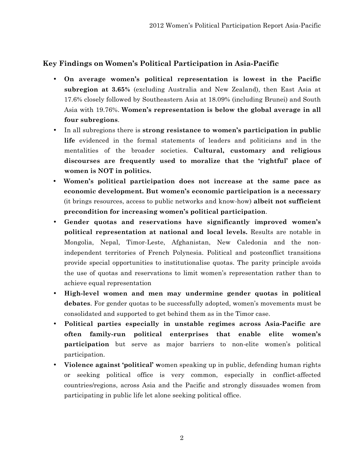# **Key Findings on Women's Political Participation in Asia-Pacific**

- **On average women's political representation is lowest in the Pacific subregion at 3.65%** (excluding Australia and New Zealand), then East Asia at 17.6% closely followed by Southeastern Asia at 18.09% (including Brunei) and South Asia with 19.76%. **Women's representation is below the global average in all four subregions**.
- In all subregions there is **strong resistance to women's participation in public life** evidenced in the formal statements of leaders and politicians and in the mentalities of the broader societies. **Cultural, customary and religious discourses are frequently used to moralize that the 'rightful' place of women is NOT in politics.**
- **Women's political participation does not increase at the same pace as economic development. But women's economic participation is a necessary** (it brings resources, access to public networks and know-how) **albeit not sufficient precondition for increasing women's political participation**.
- **Gender quotas and reservations have significantly improved women's political representation at national and local levels.** Results are notable in Mongolia, Nepal, Timor-Leste, Afghanistan, New Caledonia and the nonindependent territories of French Polynesia. Political and postconflict transitions provide special opportunities to institutionalise quotas. The parity principle avoids the use of quotas and reservations to limit women's representation rather than to achieve equal representation
- **High-level women and men may undermine gender quotas in political debates**. For gender quotas to be successfully adopted, women's movements must be consolidated and supported to get behind them as in the Timor case.
- **Political parties especially in unstable regimes across Asia-Pacific are often family-run political enterprises that enable elite women's participation** but serve as major barriers to non-elite women's political participation.
- **Violence against 'political' w**omen speaking up in public, defending human rights or seeking political office is very common, especially in conflict-affected countries/regions, across Asia and the Pacific and strongly dissuades women from participating in public life let alone seeking political office.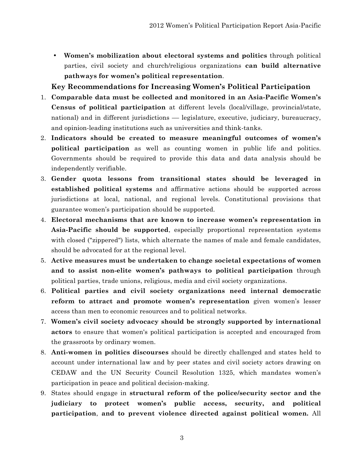• **Women's mobilization about electoral systems and politics** through political parties, civil society and church/religious organizations **can build alternative pathways for women's political representation**.

# **Key Recommendations for Increasing Women's Political Participation**

- 1. **Comparable data must be collected and monitored in an Asia-Pacific Women's Census of political participation** at different levels (local/village, provincial/state, national) and in different jurisdictions –– legislature, executive, judiciary, bureaucracy, and opinion-leading institutions such as universities and think-tanks.
- 2. **Indicators should be created to measure meaningful outcomes of women's political participation** as well as counting women in public life and politics. Governments should be required to provide this data and data analysis should be independently verifiable.
- 3. **Gender quota lessons from transitional states should be leveraged in established political systems** and affirmative actions should be supported across jurisdictions at local, national, and regional levels. Constitutional provisions that guarantee women's participation should be supported.
- 4. **Electoral mechanisms that are known to increase women's representation in Asia-Pacific should be supported**, especially proportional representation systems with closed ("zippered") lists, which alternate the names of male and female candidates, should be advocated for at the regional level.
- 5. **Active measures must be undertaken to change societal expectations of women and to assist non-elite women's pathways to political participation** through political parties, trade unions, religious, media and civil society organizations.
- 6. **Political parties and civil society organizations need internal democratic reform to attract and promote women's representation** given women's lesser access than men to economic resources and to political networks.
- 7. **Women's civil society advocacy should be strongly supported by international actors** to ensure that women's political participation is accepted and encouraged from the grassroots by ordinary women.
- 8. **Anti-women in politics discourses** should be directly challenged and states held to account under international law and by peer states and civil society actors drawing on CEDAW and the UN Security Council Resolution 1325, which mandates women's participation in peace and political decision-making.
- 9. States should engage in **structural reform of the police/security sector and the judiciary to protect women's public access, security, and political participation**, **and to prevent violence directed against political women.** All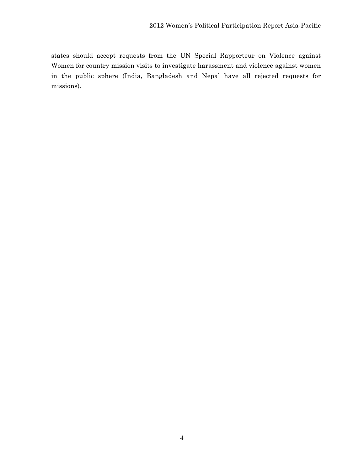states should accept requests from the UN Special Rapporteur on Violence against Women for country mission visits to investigate harassment and violence against women in the public sphere (India, Bangladesh and Nepal have all rejected requests for missions).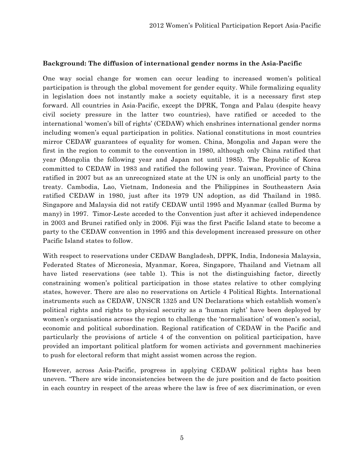### **Background: The diffusion of international gender norms in the Asia-Pacific**

One way social change for women can occur leading to increased women's political participation is through the global movement for gender equity. While formalizing equality in legislation does not instantly make a society equitable, it is a necessary first step forward. All countries in Asia-Pacific, except the DPRK, Tonga and Palau (despite heavy civil society pressure in the latter two countries), have ratified or acceded to the international 'women's bill of rights' (CEDAW) which enshrines international gender norms including women's equal participation in politics. National constitutions in most countries mirror CEDAW guarantees of equality for women. China, Mongolia and Japan were the first in the region to commit to the convention in 1980, although only China ratified that year (Mongolia the following year and Japan not until 1985). The Republic of Korea committed to CEDAW in 1983 and ratified the following year. Taiwan, Province of China ratified in 2007 but as an unrecognized state at the UN is only an unofficial party to the treaty. Cambodia, Lao, Vietnam, Indonesia and the Philippines in Southeastern Asia ratified CEDAW in 1980, just after its 1979 UN adoption, as did Thailand in 1985. Singapore and Malaysia did not ratify CEDAW until 1995 and Myanmar (called Burma by many) in 1997. Timor-Leste acceded to the Convention just after it achieved independence in 2003 and Brunei ratified only in 2006. Fiji was the first Pacific Island state to become a party to the CEDAW convention in 1995 and this development increased pressure on other Pacific Island states to follow.

With respect to reservations under CEDAW Bangladesh, DPPK, India, Indonesia Malaysia, Federated States of Micronesia, Myanmar, Korea, Singapore, Thailand and Vietnam all have listed reservations (see table 1). This is not the distinguishing factor, directly constraining women's political participation in those states relative to other complying states, however. There are also no reservations on Article 4 Political Rights. International instruments such as CEDAW, UNSCR 1325 and UN Declarations which establish women's political rights and rights to physical security as a 'human right' have been deployed by women's organisations across the region to challenge the 'normalisation' of women's social, economic and political subordination. Regional ratification of CEDAW in the Pacific and particularly the provisions of article 4 of the convention on political participation, have provided an important political platform for women activists and government machineries to push for electoral reform that might assist women across the region.

However, across Asia-Pacific, progress in applying CEDAW political rights has been uneven. "There are wide inconsistencies between the de jure position and de facto position in each country in respect of the areas where the law is free of sex discrimination, or even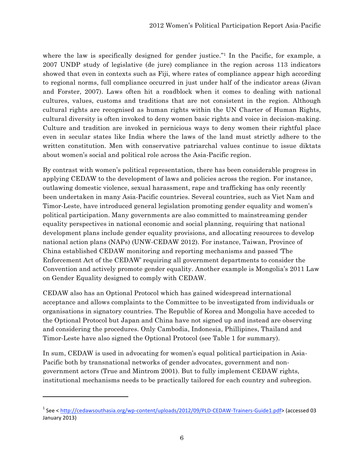where the law is specifically designed for gender justice."<sup>1</sup> In the Pacific, for example, a 2007 UNDP study of legislative (de jure) compliance in the region across 113 indicators showed that even in contexts such as Fiji, where rates of compliance appear high according to regional norms, full compliance occurred in just under half of the indicator areas (Jivan and Forster, 2007). Laws often hit a roadblock when it comes to dealing with national cultures, values, customs and traditions that are not consistent in the region. Although cultural rights are recognised as human rights within the UN Charter of Human Rights, cultural diversity is often invoked to deny women basic rights and voice in decision-making. Culture and tradition are invoked in pernicious ways to deny women their rightful place even in secular states like India where the laws of the land must strictly adhere to the written constitution. Men with conservative patriarchal values continue to issue diktats about women's social and political role across the Asia-Pacific region.

By contrast with women's political representation, there has been considerable progress in applying CEDAW to the development of laws and policies across the region. For instance, outlawing domestic violence, sexual harassment, rape and trafficking has only recently been undertaken in many Asia-Pacific countries. Several countries, such as Viet Nam and Timor-Leste, have introduced general legislation promoting gender equality and women's political participation. Many governments are also committed to mainstreaming gender equality perspectives in national economic and social planning, requiring that national development plans include gender equality provisions, and allocating resources to develop national action plans (NAPs) (UNW-CEDAW 2012). For instance, Taiwan, Province of China established CEDAW monitoring and reporting mechanisms and passed 'The Enforcement Act of the CEDAW' requiring all government departments to consider the Convention and actively promote gender equality. Another example is Mongolia's 2011 Law on Gender Equality designed to comply with CEDAW.

CEDAW also has an Optional Protocol which has gained widespread international acceptance and allows complaints to the Committee to be investigated from individuals or organisations in signatory countries. The Republic of Korea and Mongolia have acceded to the Optional Protocol but Japan and China have not signed up and instead are observing and considering the procedures. Only Cambodia, Indonesia, Phillipines, Thailand and Timor-Leste have also signed the Optional Protocol (see Table 1 for summary).

In sum, CEDAW is used in advocating for women's equal political participation in Asia-Pacific both by transnational networks of gender advocates, government and nongovernment actors (True and Mintrom 2001). But to fully implement CEDAW rights, institutional mechanisms needs to be practically tailored for each country and subregion.

<u> 1989 - Johann Stein, fransk politik (d. 1989)</u>

<sup>&</sup>lt;sup>1</sup> See < <u>http://cedawsouthasia.org/wp-content/uploads/2012/09/PLD-CEDAW-Trainers-Guide1.pdf> (accessed 03</u> January 2013)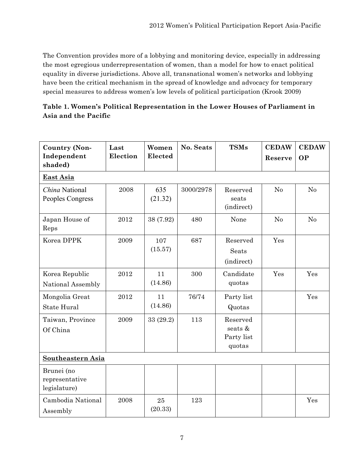The Convention provides more of a lobbying and monitoring device, especially in addressing the most egregious underrepresentation of women, than a model for how to enact political equality in diverse jurisdictions. Above all, transnational women's networks and lobbying have been the critical mechanism in the spread of knowledge and advocacy for temporary special measures to address women's low levels of political participation (Krook 2009)

| Table 1. Women's Political Representation in the Lower Houses of Parliament in |
|--------------------------------------------------------------------------------|
| Asia and the Pacific                                                           |

| <b>Country (Non-</b><br>Independent<br>shaded) | Last<br>Election | Women<br>Elected | No. Seats | <b>TSMs</b>                                 | <b>CEDAW</b><br>Reserve | <b>CEDAW</b><br><b>OP</b> |
|------------------------------------------------|------------------|------------------|-----------|---------------------------------------------|-------------------------|---------------------------|
| East Asia                                      |                  |                  |           |                                             |                         |                           |
| China National<br>Peoples Congress             | 2008             | 635<br>(21.32)   | 3000/2978 | Reserved<br>seats<br>(indirect)             | No                      | No                        |
| Japan House of<br>Reps                         | 2012             | 38 (7.92)        | 480       | None                                        | N <sub>o</sub>          | No                        |
| Korea DPPK                                     | 2009             | 107<br>(15.57)   | 687       | Reserved<br>Seats<br>(indirect)             | Yes                     |                           |
| Korea Republic<br>National Assembly            | 2012             | 11<br>(14.86)    | 300       | Candidate<br>quotas                         | Yes                     | Yes                       |
| Mongolia Great<br><b>State Hural</b>           | 2012             | 11<br>(14.86)    | 76/74     | Party list<br>Quotas                        |                         | Yes                       |
| Taiwan, Province<br>Of China                   | 2009             | 33 (29.2)        | 113       | Reserved<br>seats &<br>Party list<br>quotas |                         |                           |
| Southeastern Asia                              |                  |                  |           |                                             |                         |                           |
| Brunei (no<br>representative<br>legislature)   |                  |                  |           |                                             |                         |                           |
| Cambodia National<br>Assembly                  | 2008             | 25<br>(20.33)    | 123       |                                             |                         | Yes                       |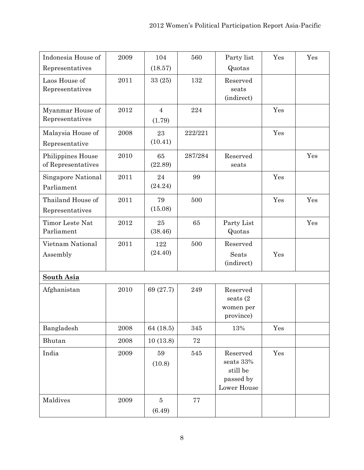| Indonesia House of                      | 2009 | 104                      | 560         | Party list                                                    | Yes | Yes |
|-----------------------------------------|------|--------------------------|-------------|---------------------------------------------------------------|-----|-----|
| Representatives                         |      | (18.57)                  |             | Quotas                                                        |     |     |
| Laos House of<br>Representatives        | 2011 | 33(25)                   | 132         | Reserved<br>seats<br>(indirect)                               |     |     |
| Myanmar House of<br>Representatives     | 2012 | $\overline{4}$<br>(1.79) | 224         |                                                               | Yes |     |
| Malaysia House of<br>Representative     | 2008 | 23<br>(10.41)            | 222/221     |                                                               | Yes |     |
| Philippines House<br>of Representatives | 2010 | 65<br>(22.89)            | 287/284     | Reserved<br>seats                                             |     | Yes |
| Singapore National<br>Parliament        | 2011 | 24<br>(24.24)            | 99          |                                                               | Yes |     |
| Thailand House of<br>Representatives    | 2011 | 79<br>(15.08)            | 500         |                                                               | Yes | Yes |
| Timor Leste Nat<br>Parliament           | 2012 | 25<br>(38.46)            | 65          | Party List<br>Quotas                                          |     | Yes |
| Vietnam National<br>Assembly            | 2011 | 122<br>(24.40)           | 500         | Reserved<br>Seats<br>(indirect)                               | Yes |     |
| <b>South Asia</b>                       |      |                          |             |                                                               |     |     |
| Afghanistan                             | 2010 | 69 (27.7)                | 249         | Reserved<br>seats $(2)$<br>women per<br>province)             |     |     |
| Bangladesh                              | 2008 | 64 (18.5)                | 345         | 13%                                                           | Yes |     |
| Bhutan                                  | 2008 | 10(13.8)                 | $\sqrt{72}$ |                                                               |     |     |
| India                                   | 2009 | 59<br>(10.8)             | 545         | Reserved<br>seats 33%<br>still be<br>passed by<br>Lower House | Yes |     |
| Maldives                                | 2009 | $\overline{5}$<br>(6.49) | $77\,$      |                                                               |     |     |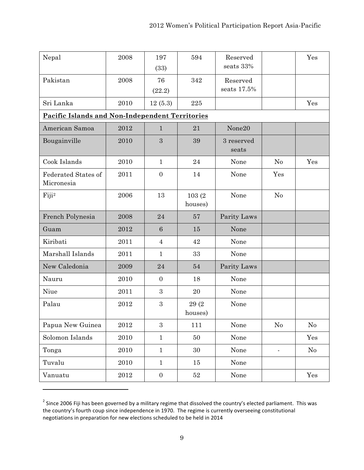| Nepal                                                  | 2008       | 197<br>(33)     | 594               | Reserved<br>seats 33%   |                | Yes      |
|--------------------------------------------------------|------------|-----------------|-------------------|-------------------------|----------------|----------|
| Pakistan                                               | 2008       | 76<br>(22.2)    | 342               | Reserved<br>seats 17.5% |                |          |
| Sri Lanka                                              | 2010       | 12(5.3)         | 225               |                         |                | Yes      |
| <b>Pacific Islands and Non-Independent Territories</b> |            |                 |                   |                         |                |          |
| American Samoa                                         | 2012       | $\mathbf{1}$    | 21                | None20                  |                |          |
| Bougainville                                           | 2010       | 3               | 39                | 3 reserved<br>seats     |                |          |
| Cook Islands                                           | 2010       | $\mathbf{1}$    | 24                | None                    | N <sub>0</sub> | Yes      |
| <b>Federated States of</b><br>Micronesia               | 2011       | $\overline{0}$  | 14                | None                    | Yes            |          |
| Fiji <sup>2</sup>                                      | 2006       | 13              | 103(2)<br>houses) | None                    | No             |          |
| French Polynesia                                       | 2008       | 24              | 57                | Parity Laws             |                |          |
| Guam                                                   | 2012       | $6\phantom{1}6$ | 15                | None                    |                |          |
| Kiribati                                               | 2011       | $\overline{4}$  | 42                | None                    |                |          |
| Marshall Islands                                       | 2011       | $\mathbf{1}$    | 33                | None                    |                |          |
| New Caledonia                                          | 2009       | 24              | 54                | Parity Laws             |                |          |
| Nauru                                                  | 2010       | $\overline{0}$  | 18                | None                    |                |          |
| Niue                                                   | 2011       | 3               | 20                | None                    |                |          |
| Palau                                                  | 2012       | 3               | 29(2)<br>houses)  | None                    |                |          |
| Papua New Guinea                                       | $\bf 2012$ | $\overline{3}$  | 111               | None                    | $\rm No$       | No       |
| Solomon Islands                                        | $2010\,$   | $\mathbf{1}$    | 50                | None                    |                | Yes      |
| Tonga                                                  | 2010       | $\mathbf{1}$    | $30\,$            | None                    | $\blacksquare$ | $\rm No$ |
| Tuvalu                                                 | 2010       | $\mathbf{1}$    | 15                | None                    |                |          |
| Vanuatu                                                | 2012       | $\overline{0}$  | $52\,$            | None                    |                | Yes      |

 $2$  Since 2006 Fiji has been governed by a military regime that dissolved the country's elected parliament. This was the country's fourth coup since independence in 1970. The regime is currently overseeing constitutional negotiations in preparation for new elections scheduled to be held in 2014

<u> 1989 - Johann Stein, fransk politik (d. 1989)</u>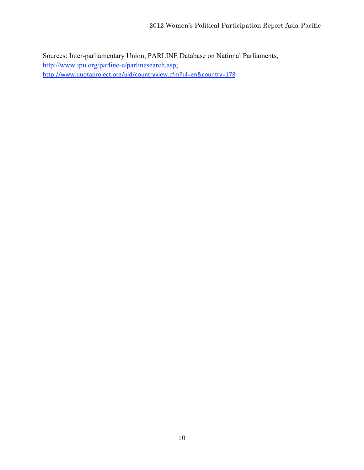Sources: Inter-parliamentary Union, PARLINE Database on National Parliaments, http://www.ipu.org/parline-e/parlinesearch.asp; http://www.quotaproject.org/uid/countryview.cfm?ul=en&country=178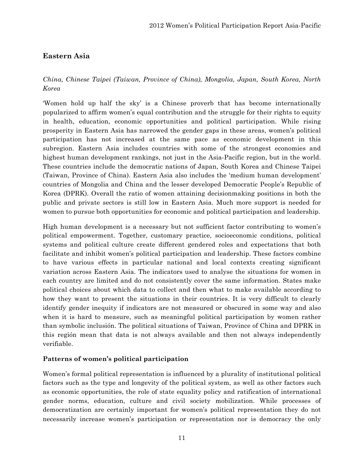# **Eastern Asia**

# *China, Chinese Taipei (Taiwan, Province of China), Mongolia, Japan, South Korea, North Korea*

'Women hold up half the sky' is a Chinese proverb that has become internationally popularized to affirm women's equal contribution and the struggle for their rights to equity in health, education, economic opportunities and political participation. While rising prosperity in Eastern Asia has narrowed the gender gaps in these areas, women's political participation has not increased at the same pace as economic development in this subregion. Eastern Asia includes countries with some of the strongest economies and highest human development rankings, not just in the Asia-Pacific region, but in the world. These countries include the democratic nations of Japan, South Korea and Chinese Taipei (Taiwan, Province of China). Eastern Asia also includes the 'medium human development' countries of Mongolia and China and the lesser developed Democratic People's Republic of Korea (DPRK). Overall the ratio of women attaining decisionmaking positions in both the public and private sectors is still low in Eastern Asia. Much more support is needed for women to pursue both opportunities for economic and political participation and leadership.

High human development is a necessary but not sufficient factor contributing to women's political empowerment. Together, customary practice, socioeconomic conditions, political systems and political culture create different gendered roles and expectations that both facilitate and inhibit women's political participation and leadership. These factors combine to have various effects in particular national and local contexts creating significant variation across Eastern Asia. The indicators used to analyse the situations for women in each country are limited and do not consistently cover the same information. States make political choices about which data to collect and then what to make available according to how they want to present the situations in their countries. It is very difficult to clearly identify gender inequity if indicators are not measured or obscured in some way and also when it is hard to measure, such as meaningful political participation by women rather than symbolic inclusión. The political situations of Taiwan, Province of China and DPRK in this región mean that data is not always available and then not always independently verifiable.

### **Patterns of women's political participation**

Women's formal political representation is influenced by a plurality of institutional political factors such as the type and longevity of the political system, as well as other factors such as economic opportunities, the role of state equality policy and ratification of international gender norms, education, culture and civil society mobilization. While processes of democratization are certainly important for women's political representation they do not necessarily increase women's participation or representation nor is democracy the only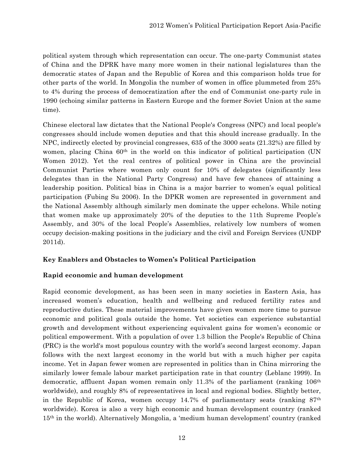political system through which representation can occur. The one-party Communist states of China and the DPRK have many more women in their national legislatures than the democratic states of Japan and the Republic of Korea and this comparison holds true for other parts of the world. In Mongolia the number of women in office plummeted from 25% to 4% during the process of democratization after the end of Communist one-party rule in 1990 (echoing similar patterns in Eastern Europe and the former Soviet Union at the same time).

Chinese electoral law dictates that the National People's Congress (NPC) and local people's congresses should include women deputies and that this should increase gradually. In the NPC, indirectly elected by provincial congresses, 635 of the 3000 seats (21.32%) are filled by women, placing China 60<sup>th</sup> in the world on this indicator of political participation (UN Women 2012). Yet the real centres of political power in China are the provincial Communist Parties where women only count for 10% of delegates (significantly less delegates than in the National Party Congress) and have few chances of attaining a leadership position. Political bias in China is a major barrier to women's equal political participation (Fubing Su 2006). In the DPKR women are represented in government and the National Assembly although similarly men dominate the upper echelons. While noting that women make up approximately 20% of the deputies to the 11th Supreme People's Assembly, and 30% of the local People's Assemblies, relatively low numbers of women occupy decision-making positions in the judiciary and the civil and Foreign Services (UNDP 2011d).

# **Key Enablers and Obstacles to Women's Political Participation**

### **Rapid economic and human development**

Rapid economic development, as has been seen in many societies in Eastern Asia, has increased women's education, health and wellbeing and reduced fertility rates and reproductive duties. These material improvements have given women more time to pursue economic and political goals outside the home. Yet societies can experience substantial growth and development without experiencing equivalent gains for women's economic or political empowerment. With a population of over 1.3 billion the People's Republic of China (PRC) is the world's most populous country with the world's second largest economy. Japan follows with the next largest economy in the world but with a much higher per capita income. Yet in Japan fewer women are represented in politics than in China mirroring the similarly lower female labour market participation rate in that country (Leblanc 1999). In democratic, affluent Japan women remain only 11.3% of the parliament (ranking  $106<sup>th</sup>$ worldwide), and roughly 8% of representatives in local and regional bodies. Slightly better, in the Republic of Korea, women occupy 14.7% of parliamentary seats (ranking  $87<sup>th</sup>$ worldwide). Korea is also a very high economic and human development country (ranked 15th in the world). Alternatively Mongolia, a 'medium human development' country (ranked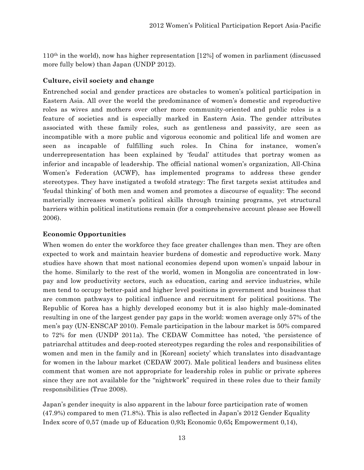110th in the world), now has higher representation [12%] of women in parliament (discussed more fully below) than Japan (UNDP 2012).

### **Culture, civil society and change**

Entrenched social and gender practices are obstacles to women's political participation in Eastern Asia. All over the world the predominance of women's domestic and reproductive roles as wives and mothers over other more community-oriented and public roles is a feature of societies and is especially marked in Eastern Asia. The gender attributes associated with these family roles, such as gentleness and passivity, are seen as incompatible with a more public and vigorous economic and political life and women are seen as incapable of fulfilling such roles. In China for instance, women's underrepresentation has been explained by 'feudal' attitudes that portray women as inferior and incapable of leadership. The official national women's organization, All-China Women's Federation (ACWF), has implemented programs to address these gender stereotypes. They have instigated a twofold strategy: The first targets sexist attitudes and 'feudal thinking' of both men and women and promotes a discourse of equality: The second materially increases women's political skills through training programs, yet structural barriers within political institutions remain (for a comprehensive account please see Howell 2006).

### **Economic Opportunities**

When women do enter the workforce they face greater challenges than men. They are often expected to work and maintain heavier burdens of domestic and reproductive work. Many studies have shown that most national economies depend upon women's unpaid labour in the home. Similarly to the rest of the world, women in Mongolia are concentrated in lowpay and low productivity sectors, such as education, caring and service industries, while men tend to occupy better-paid and higher level positions in government and business that are common pathways to political influence and recruitment for political positions. The Republic of Korea has a highly developed economy but it is also highly male-dominated resulting in one of the largest gender pay gaps in the world: women average only 57% of the men's pay (UN-ENSCAP 2010). Female participation in the labour market is 50% compared to 72% for men (UNDP 2011a). The CEDAW Committee has noted, 'the persistence of patriarchal attitudes and deep-rooted stereotypes regarding the roles and responsibilities of women and men in the family and in [Korean] society' which translates into disadvantage for women in the labour market (CEDAW 2007). Male political leaders and business elites comment that women are not appropriate for leadership roles in public or private spheres since they are not available for the "nightwork" required in these roles due to their family responsibilities (True 2008).

Japan's gender inequity is also apparent in the labour force participation rate of women (47.9%) compared to men (71.8%). This is also reflected in Japan's 2012 Gender Equality Index score of 0,57 (made up of Education 0,93**;** Economic 0,65**;** Empowerment 0,14),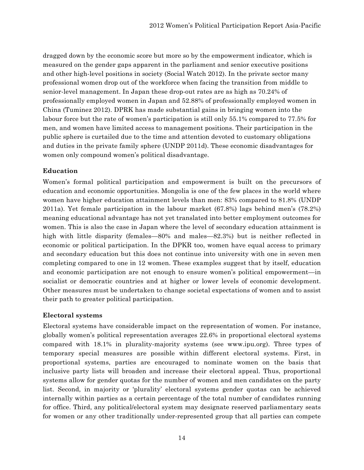dragged down by the economic score but more so by the empowerment indicator, which is measured on the gender gaps apparent in the parliament and senior executive positions and other high-level positions in society (Social Watch 2012). In the private sector many professional women drop out of the workforce when facing the transition from middle to senior-level management. In Japan these drop-out rates are as high as 70.24% of professionally employed women in Japan and 52.88% of professionally employed women in China (Tuminez 2012). DPRK has made substantial gains in bringing women into the labour force but the rate of women's participation is still only 55.1% compared to 77.5% for men, and women have limited access to management positions. Their participation in the public sphere is curtailed due to the time and attention devoted to customary obligations and duties in the private family sphere (UNDP 2011d). These economic disadvantages for women only compound women's political disadvantage.

# **Education**

Women's formal political participation and empowerment is built on the precursors of education and economic opportunities. Mongolia is one of the few places in the world where women have higher education attainment levels than men: 83% compared to 81.8% (UNDP 2011a). Yet female participation in the labour market (67.8%) lags behind men's (78.2%) meaning educational advantage has not yet translated into better employment outcomes for women. This is also the case in Japan where the level of secondary education attainment is high with little disparity (females—80% and males—82.3%) but is neither reflected in economic or political participation. In the DPKR too, women have equal access to primary and secondary education but this does not continue into university with one in seven men completing compared to one in 12 women. These examples suggest that by itself, education and economic participation are not enough to ensure women's political empowerment—in socialist or democratic countries and at higher or lower levels of economic development. Other measures must be undertaken to change societal expectations of women and to assist their path to greater political participation.

# **Electoral systems**

Electoral systems have considerable impact on the representation of women. For instance, globally women's political representation averages 22.6% in proportional electoral systems compared with 18.1% in plurality-majority systems (see www.ipu.org). Three types of temporary special measures are possible within different electoral systems. First, in proportional systems, parties are encouraged to nominate women on the basis that inclusive party lists will broaden and increase their electoral appeal. Thus, proportional systems allow for gender quotas for the number of women and men candidates on the party list. Second, in majority or 'plurality' electoral systems gender quotas can be achieved internally within parties as a certain percentage of the total number of candidates running for office. Third, any political/electoral system may designate reserved parliamentary seats for women or any other traditionally under-represented group that all parties can compete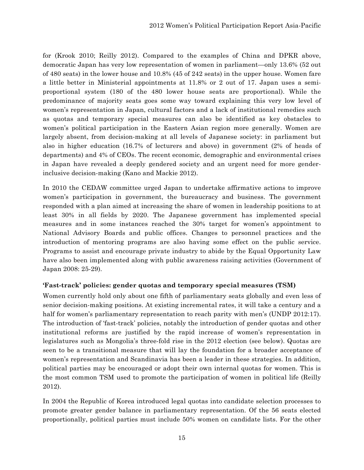for (Krook 2010; Reilly 2012). Compared to the examples of China and DPKR above, democratic Japan has very low representation of women in parliament—only 13.6% (52 out of 480 seats) in the lower house and 10.8% (45 of 242 seats) in the upper house. Women fare a little better in Ministerial appointments at 11.8% or 2 out of 17. Japan uses a semiproportional system (180 of the 480 lower house seats are proportional). While the predominance of majority seats goes some way toward explaining this very low level of women's representation in Japan, cultural factors and a lack of institutional remedies such as quotas and temporary special measures can also be identified as key obstacles to women's political participation in the Eastern Asian region more generally. Women are largely absent, from decision-making at all levels of Japanese society: in parliament but also in higher education (16.7% of lecturers and above) in government (2% of heads of departments) and 4% of CEOs. The recent economic, demographic and environmental crises in Japan have revealed a deeply gendered society and an urgent need for more genderinclusive decision-making (Kano and Mackie 2012).

In 2010 the CEDAW committee urged Japan to undertake affirmative actions to improve women's participation in government, the bureaucracy and business. The government responded with a plan aimed at increasing the share of women in leadership positions to at least 30% in all fields by 2020. The Japanese government has implemented special measures and in some instances reached the 30% target for women's appointment to National Advisory Boards and public offices. Changes to personnel practices and the introduction of mentoring programs are also having some effect on the public service. Programs to assist and encourage private industry to abide by the Equal Opportunity Law have also been implemented along with public awareness raising activities (Government of Japan 2008: 25-29).

### **'Fast-track' policies: gender quotas and temporary special measures (TSM)**

Women currently hold only about one fifth of parliamentary seats globally and even less of senior decision-making positions. At existing incremental rates, it will take a century and a half for women's parliamentary representation to reach parity with men's (UNDP 2012:17). The introduction of 'fast-track' policies, notably the introduction of gender quotas and other institutional reforms are justified by the rapid increase of women's representation in legislatures such as Mongolia's three-fold rise in the 2012 election (see below). Quotas are seen to be a transitional measure that will lay the foundation for a broader acceptance of women's representation and Scandinavia has been a leader in these strategies. In addition, political parties may be encouraged or adopt their own internal quotas for women. This is the most common TSM used to promote the participation of women in political life (Reilly 2012).

In 2004 the Republic of Korea introduced legal quotas into candidate selection processes to promote greater gender balance in parliamentary representation. Of the 56 seats elected proportionally, political parties must include 50% women on candidate lists. For the other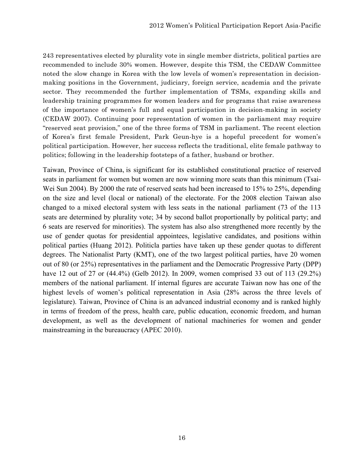243 representatives elected by plurality vote in single member districts, political parties are recommended to include 30% women. However, despite this TSM, the CEDAW Committee noted the slow change in Korea with the low levels of women's representation in decisionmaking positions in the Government, judiciary, foreign service, academia and the private sector. They recommended the further implementation of TSMs, expanding skills and leadership training programmes for women leaders and for programs that raise awareness of the importance of women's full and equal participation in decision-making in society (CEDAW 2007). Continuing poor representation of women in the parliament may require "reserved seat provision," one of the three forms of TSM in parliament. The recent election of Korea's first female President, Park Geun-hye is a hopeful precedent for women's political participation. However, her success reflects the traditional, elite female pathway to politics; following in the leadership footsteps of a father, husband or brother.

Taiwan, Province of China, is significant for its established constitutional practice of reserved seats in parliament for women but women are now winning more seats than this minimum (Tsai-Wei Sun 2004). By 2000 the rate of reserved seats had been increased to 15% to 25%, depending on the size and level (local or national) of the electorate. For the 2008 election Taiwan also changed to a mixed electoral system with less seats in the national parliament (73 of the 113 seats are determined by plurality vote; 34 by second ballot proportionally by political party; and 6 seats are reserved for minorities). The system has also also strengthened more recently by the use of gender quotas for presidential appointees, legislative candidates, and positions within political parties (Huang 2012). Politicla parties have taken up these gender quotas to different degrees. The Nationalist Party (KMT), one of the two largest political parties, have 20 women out of 80 (or 25%) representatives in the parliament and the Democratic Progressive Party (DPP) have 12 out of 27 or (44.4%) (Gelb 2012). In 2009, women comprised 33 out of 113 (29.2%) members of the national parliament. If internal figures are accurate Taiwan now has one of the highest levels of women's political representation in Asia (28% across the three levels of legislature). Taiwan, Province of China is an advanced industrial economy and is ranked highly in terms of freedom of the press, health care, public education, economic freedom, and human development, as well as the development of national machineries for women and gender mainstreaming in the bureaucracy (APEC 2010).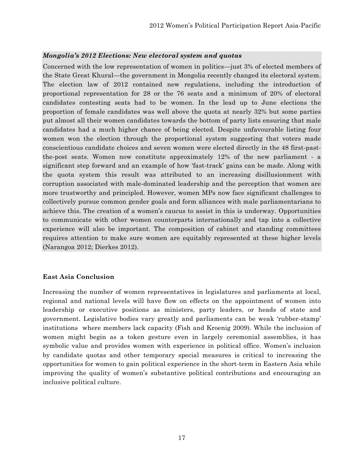#### *Mongolia's 2012 Elections: New electoral system and quotas*

Concerned with the low representation of women in politics—just 3% of elected members of the State Great Khural—the government in Mongolia recently changed its electoral system. The election law of 2012 contained new regulations, including the introduction of proportional representation for 28 or the 76 seats and a minimum of 20% of electoral candidates contesting seats had to be women. In the lead up to June elections the proportion of female candidates was well above the quota at nearly 32% but some parties put almost all their women candidates towards the bottom of party lists ensuring that male candidates had a much higher chance of being elected. Despite unfavourable listing four women won the election through the proportional system suggesting that voters made conscientious candidate choices and seven women were elected directly in the 48 first-pastthe-post seats. Women now constitute approximately 12% of the new parliament - a significant step forward and an example of how 'fast-track' gains can be made. Along with the quota system this result was attributed to an increasing disillusionment with corruption associated with male-dominated leadership and the perception that women are more trustworthy and principled. However, women MPs now face significant challenges to collectively pursue common gender goals and form alliances with male parliamentarians to achieve this. The creation of a women's caucus to assist in this is underway. Opportunities to communicate with other women counterparts internationally and tap into a collective experience will also be important. The composition of cabinet and standing committees requires attention to make sure women are equitably represented at these higher levels (Narangoa 2012; Dierkes 2012).

#### **East Asia Conclusion**

Increasing the number of women representatives in legislatures and parliaments at local, regional and national levels will have flow on effects on the appointment of women into leadership or executive positions as ministers, party leaders, or heads of state and government. Legislative bodies vary greatly and parliaments can be weak 'rubber-stamp' institutions where members lack capacity (Fish and Kroenig 2009). While the inclusion of women might begin as a token gesture even in largely ceremonial assemblies, it has symbolic value and provides women with experience in political office. Women's inclusion by candidate quotas and other temporary special measures is critical to increasing the opportunities for women to gain political experience in the short-term in Eastern Asia while improving the quality of women's substantive political contributions and encouraging an inclusive political culture.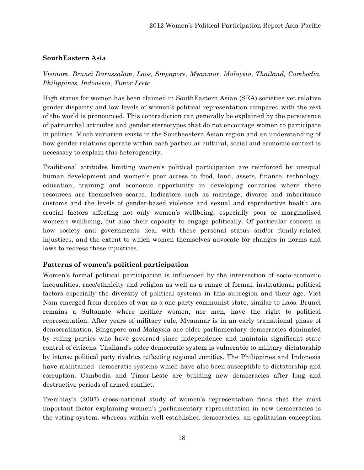### **SouthEastern Asia**

*Vietnam, Brunei Darussalam, Laos, Singapore, Myanmar, Malaysia, Thailand, Cambodia, Philippines, Indonesia, Timor Leste*

High status for women has been claimed in SouthEastern Asian (SEA) societies yet relative gender disparity and low levels of women's political representation compared with the rest of the world is pronounced. This contradiction can generally be explained by the persistence of patriarchal attitudes and gender stereotypes that do not encourage women to participate in politics. Much variation exists in the Southeastern Asian region and an understanding of how gender relations operate within each particular cultural, social and economic context is necessary to explain this heterogeneity.

Traditional attitudes limiting women's political participation are reinforced by unequal human development and women's poor access to food, land, assets, finance, technology, education, training and economic opportunity in developing countries where these resources are themselves scarce. Indicators such as marriage, divorce and inheritance customs and the levels of gender-based violence and sexual and reproductive health are crucial factors affecting not only women's wellbeing, especially poor or marginalised women's wellbeing, but also their capacity to engage politically. Of particular concern is how society and governments deal with these personal status and/or family-related injustices, and the extent to which women themselves advocate for changes in norms and laws to redress these injustices.

# **Patterns of women's political participation**

Women's formal political participation is influenced by the intersection of socio-economic inequalities, race/ethnicity and religion as well as a range of formal, institutional political factors especially the diversity of political systems in this subregion and their age. Viet Nam emerged from decades of war as a one-party communist state, similar to Laos. Brunei remains a Sultanate where neither women, nor men, have the right to political representation. After years of military rule, Myanmar is in an early transitional phase of democratization. Singapore and Malaysia are older parliamentary democracies dominated by ruling parties who have governed since independence and maintain significant state control of citizens. Thailand's older democratic system is vulnerable to military dictatorship by intense political party rivalries reflecting regional enmities. The Philippines and Indonesia have maintained democratic systems which have also been susceptible to dictatorship and corruption. Cambodia and Timor-Leste are building new democracies after long and destructive periods of armed conflict.

Tremblay's (2007) cross-national study of women's representation finds that the most important factor explaining women's parliamentary representation in new democracies is the voting system, whereas within well-established democracies, an egalitarian conception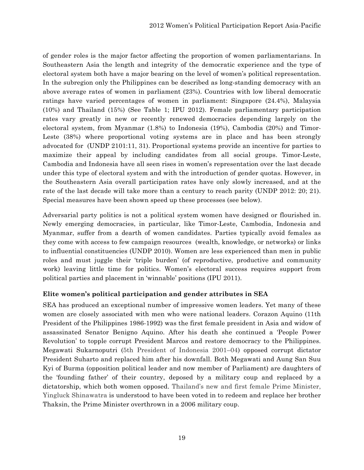of gender roles is the major factor affecting the proportion of women parliamentarians. In Southeastern Asia the length and integrity of the democratic experience and the type of electoral system both have a major bearing on the level of women's political representation. In the subregion only the Philippines can be described as long-standing democracy with an above average rates of women in parliament (23%). Countries with low liberal democratic ratings have varied percentages of women in parliament: Singapore (24.4%), Malaysia (10%) and Thailand (15%) (See Table 1; IPU 2012). Female parliamentary participation rates vary greatly in new or recently renewed democracies depending largely on the electoral system, from Myanmar (1.8%) to Indonesia (19%), Cambodia (20%) and Timor-Leste (38%) where proportional voting systems are in place and has been strongly advocated for (UNDP 2101:11, 31). Proportional systems provide an incentive for parties to maximize their appeal by including candidates from all social groups. Timor-Leste, Cambodia and Indonesia have all seen rises in women's representation over the last decade under this type of electoral system and with the introduction of gender quotas. However, in the Southeastern Asia overall participation rates have only slowly increased, and at the rate of the last decade will take more than a century to reach parity (UNDP 2012: 20; 21). Special measures have been shown speed up these processes (see below).

Adversarial party politics is not a political system women have designed or flourished in. Newly emerging democracies, in particular, like Timor-Leste, Cambodia, Indonesia and Myanmar, suffer from a dearth of women candidates. Parties typically avoid females as they come with access to few campaign resources (wealth, knowledge, or networks) or links to influential constituencies (UNDP 2010). Women are less experienced than men in public roles and must juggle their 'triple burden' (of reproductive, productive and community work) leaving little time for politics. Women's electoral success requires support from political parties and placement in 'winnable' positions (IPU 2011).

### **Elite women's political participation and gender attributes in SEA**

SEA has produced an exceptional number of impressive women leaders. Yet many of these women are closely associated with men who were national leaders. Corazon Aquino (11th President of the Philippines 1986-1992) was the first female president in Asia and widow of assassinated Senator Benigno Aquino. After his death she continued a 'People Power Revolution' to topple corrupt President Marcos and restore democracy to the Philippines. Megawati Sukarnoputri (5th President of Indonesia 2001–04) opposed corrupt dictator President Suharto and replaced him after his downfall. Both Megawati and Aung San Suu Kyi of Burma (opposition political leader and now member of Parliament) are daughters of the 'founding father' of their country, deposed by a military coup and replaced by a dictatorship, which both women opposed. Thailand's new and first female Prime Minister, Yingluck Shinawatra is understood to have been voted in to redeem and replace her brother Thaksin, the Prime Minister overthrown in a 2006 military coup.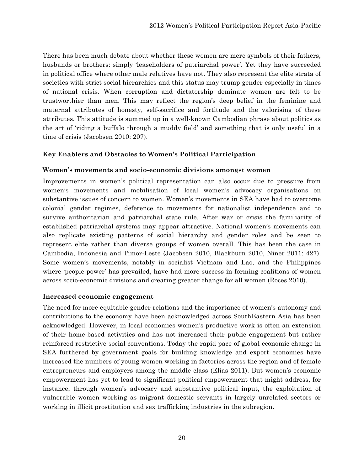There has been much debate about whether these women are mere symbols of their fathers, husbands or brothers: simply 'leaseholders of patriarchal power'. Yet they have succeeded in political office where other male relatives have not. They also represent the elite strata of societies with strict social hierarchies and this status may trump gender especially in times of national crisis. When corruption and dictatorship dominate women are felt to be trustworthier than men. This may reflect the region's deep belief in the feminine and maternal attributes of honesty, self-sacrifice and fortitude and the valorising of these attributes. This attitude is summed up in a well-known Cambodian phrase about politics as the art of 'riding a buffalo through a muddy field' and something that is only useful in a time of crisis (Jacobsen 2010: 207).

### **Key Enablers and Obstacles to Women's Political Participation**

### **Women's movements and socio-economic divisions amongst women**

Improvements in women's political representation can also occur due to pressure from women's movements and mobilisation of local women's advocacy organisations on substantive issues of concern to women. Women's movements in SEA have had to overcome colonial gender regimes, deference to movements for nationalist independence and to survive authoritarian and patriarchal state rule. After war or crisis the familiarity of established patriarchal systems may appear attractive. National women's movements can also replicate existing patterns of social hierarchy and gender roles and be seen to represent elite rather than diverse groups of women overall. This has been the case in Cambodia, Indonesia and Timor-Leste (Jacobsen 2010, Blackburn 2010, Niner 2011: 427). Some women's movements, notably in socialist Vietnam and Lao, and the Philippines where 'people-power' has prevailed, have had more success in forming coalitions of women across socio-economic divisions and creating greater change for all women (Roces 2010).

#### **Increased economic engagement**

The need for more equitable gender relations and the importance of women's autonomy and contributions to the economy have been acknowledged across SouthEastern Asia has been acknowledged. However, in local economies women's productive work is often an extension of their home-based activities and has not increased their public engagement but rather reinforced restrictive social conventions. Today the rapid pace of global economic change in SEA furthered by government goals for building knowledge and export economies have increased the numbers of young women working in factories across the region and of female entrepreneurs and employers among the middle class (Elias 2011). But women's economic empowerment has yet to lead to significant political empowerment that might address, for instance, through women's advocacy and substantive political input, the exploitation of vulnerable women working as migrant domestic servants in largely unrelated sectors or working in illicit prostitution and sex trafficking industries in the subregion.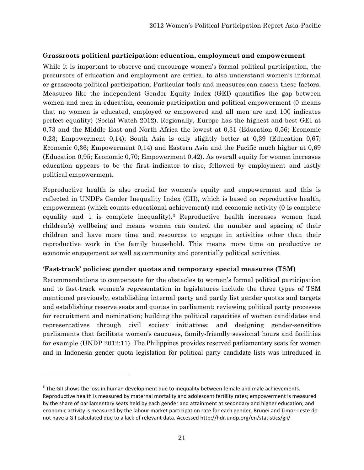#### **Grassroots political participation: education, employment and empowerment**

While it is important to observe and encourage women's formal political participation, the precursors of education and employment are critical to also understand women's informal or grassroots political participation. Particular tools and measures can assess these factors. Measures like the independent Gender Equity Index (GEI) quantifies the gap between women and men in education, economic participation and political empowerment (0 means that no women is educated, employed or empowered and all men are and 100 indicates perfect equality) (Social Watch 2012). Regionally, Europe has the highest and best GEI at 0,73 and the Middle East and North Africa the lowest at 0,31 (Education 0,56; Economic 0,23; Empowerment 0,14); South Asia is only slightly better at 0,39 (Education 0,67; Economic 0,36; Empowerment 0,14) and Eastern Asia and the Pacific much higher at 0,69 (Education 0,95; Economic 0,70; Empowerment 0,42). As overall equity for women increases education appears to be the first indicator to rise, followed by employment and lastly political empowerment.

Reproductive health is also crucial for women's equity and empowerment and this is reflected in UNDPs Gender Inequality Index (GII), which is based on reproductive health, empowerment (which counts educational achievement) and economic activity (0 is complete equality and 1 is complete inequality).<sup>3</sup> Reproductive health increases women (and children's) wellbeing and means women can control the number and spacing of their children and have more time and resources to engage in activities other than their reproductive work in the family household. This means more time on productive or economic engagement as well as community and potentially political activities.

### **'Fast-track' policies: gender quotas and temporary special measures (TSM)**

Recommendations to compensate for the obstacles to women's formal political participation and to fast-track women's representation in legislatures include the three types of TSM mentioned previously, establishing internal party and partly list gender quotas and targets and establishing reserve seats and quotas in parliament: reviewing political party processes for recruitment and nomination; building the political capacities of women candidates and representatives through civil society initiatives; and designing gender-sensitive parliaments that facilitate women's caucuses, family-friendly sessional hours and facilities for example (UNDP 2012:11). The Philippines provides reserved parliamentary seats for women and in Indonesia gender quota legislation for political party candidate lists was introduced in

<u> 1989 - Johann Stein, fransk politik (d. 1989)</u>

 $3$  The GII shows the loss in human development due to inequality between female and male achievements. Reproductive health is measured by maternal mortality and adolescent fertility rates; empowerment is measured by the share of parliamentary seats held by each gender and attainment at secondary and higher education; and economic activity is measured by the labour market participation rate for each gender. Brunei and Timor‐Leste do not have a GII calculated due to a lack of relevant data. Accessed http://hdr.undp.org/en/statistics/gii/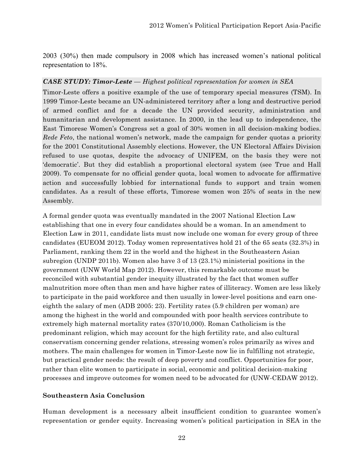2003 (30%) then made compulsory in 2008 which has increased women's national political representation to 18%.

### *CASE STUDY: Timor-Leste — Highest political representation for women in SEA*

Timor-Leste offers a positive example of the use of temporary special measures (TSM). In 1999 Timor-Leste became an UN-administered territory after a long and destructive period of armed conflict and for a decade the UN provided security, administration and humanitarian and development assistance. In 2000, in the lead up to independence, the East Timorese Women's Congress set a goal of 30% women in all decision-making bodies. *Rede Feto*, the national women's network, made the campaign for gender quotas a priority for the 2001 Constitutional Assembly elections. However, the UN Electoral Affairs Division refused to use quotas, despite the advocacy of UNIFEM, on the basis they were not 'democratic'. But they did establish a proportional electoral system (see True and Hall 2009). To compensate for no official gender quota, local women to advocate for affirmative action and successfully lobbied for international funds to support and train women candidates. As a result of these efforts, Timorese women won 25% of seats in the new Assembly.

A formal gender quota was eventually mandated in the 2007 National Election Law establishing that one in every four candidates should be a woman. In an amendment to Election Law in 2011, candidate lists must now include one woman for every group of three candidates (EUEOM 2012). Today women representatives hold 21 of the 65 seats (32.3%) in Parliament, ranking them 22 in the world and the highest in the Southeastern Asian subregion (UNDP 2011b). Women also have 3 of 13 (23.1%) ministerial positions in the government (UNW World Map 2012). However, this remarkable outcome must be reconciled with substantial gender inequity illustrated by the fact that women suffer malnutrition more often than men and have higher rates of illiteracy. Women are less likely to participate in the paid workforce and then usually in lower-level positions and earn oneeighth the salary of men (ADB 2005: 23). Fertility rates (5.9 children per woman) are among the highest in the world and compounded with poor health services contribute to extremely high maternal mortality rates (370/10,000). Roman Catholicism is the predominant religion, which may account for the high fertility rate, and also cultural conservatism concerning gender relations, stressing women's roles primarily as wives and mothers. The main challenges for women in Timor-Leste now lie in fulfilling not strategic, but practical gender needs: the result of deep poverty and conflict. Opportunities for poor, rather than elite women to participate in social, economic and political decision-making processes and improve outcomes for women need to be advocated for (UNW-CEDAW 2012).

#### **Southeastern Asia Conclusion**

Human development is a necessary albeit insufficient condition to guarantee women's representation or gender equity. Increasing women's political participation in SEA in the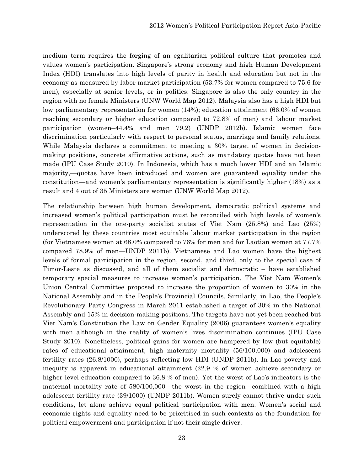medium term requires the forging of an egalitarian political culture that promotes and values women's participation. Singapore's strong economy and high Human Development Index (HDI) translates into high levels of parity in health and education but not in the economy as measured by labor market participation (53.7% for women compared to 75.6 for men), especially at senior levels, or in politics: Singapore is also the only country in the region with no female Ministers (UNW World Map 2012). Malaysia also has a high HDI but low parliamentary representation for women (14%); education attainment (66.0% of women reaching secondary or higher education compared to 72.8% of men) and labour market participation (women–44.4% and men 79.2) (UNDP 2012b). Islamic women face discrimination particularly with respect to personal status, marriage and family relations. While Malaysia declares a commitment to meeting a 30% target of women in decisionmaking positions, concrete affirmative actions, such as mandatory quotas have not been made (IPU Case Study 2010). In Indonesia, which has a much lower HDI and an Islamic majority,—quotas have been introduced and women are guaranteed equality under the constitution—and women's parliamentary representation is significantly higher (18%) as a result and 4 out of 35 Ministers are women (UNW World Map 2012).

The relationship between high human development, democratic political systems and increased women's political participation must be reconciled with high levels of women's representation in the one-party socialist states of Viet Nam (25.8%) and Lao (25%) underscored by these countries most equitable labour market participation in the region (for Vietnamese women at 68.0% compared to 76% for men and for Laotian women at 77.7% compared 78.9% of men—UNDP 2011b). Vietnamese and Lao women have the highest levels of formal participation in the region, second, and third, only to the special case of Timor-Leste as discussed, and all of them socialist and democratic – have established temporary special measures to increase women's participation. The Viet Nam Women's Union Central Committee proposed to increase the proportion of women to 30% in the National Assembly and in the People's Provincial Councils. Similarly, in Lao, the People's Revolutionary Party Congress in March 2011 established a target of 30% in the National Assembly and 15% in decision-making positions. The targets have not yet been reached but Viet Nam's Constitution the Law on Gender Equality (2006) guarantees women's equality with men although in the reality of women's lives discrimination continues (IPU Case Study 2010). Nonetheless, political gains for women are hampered by low (but equitable) rates of educational attainment, high maternity mortality (56/100,000) and adolescent fertility rates (26.8/1000), perhaps reflecting low HDI (UNDP 2011b). In Lao poverty and inequity is apparent in educational attainment (22.9 % of women achieve secondary or higher level education compared to 36.8 % of men). Yet the worst of Lao's indicators is the maternal mortality rate of 580/100,000—the worst in the region—combined with a high adolescent fertility rate (39/1000) (UNDP 2011b). Women surely cannot thrive under such conditions, let alone achieve equal political participation with men. Women's social and economic rights and equality need to be prioritised in such contexts as the foundation for political empowerment and participation if not their single driver.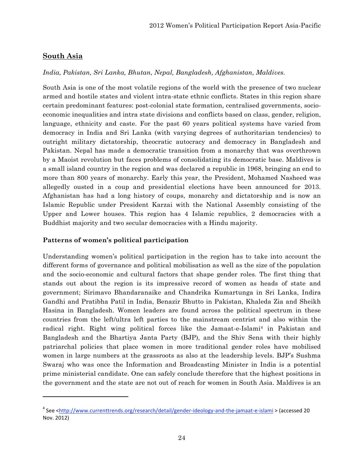# **South Asia**

*India, Pakistan, Sri Lanka, Bhutan, Nepal, Bangladesh, Afghanistan, Maldives.*

South Asia is one of the most volatile regions of the world with the presence of two nuclear armed and hostile states and violent intra-state ethnic conflicts. States in this region share certain predominant features: post-colonial state formation, centralised governments, socioeconomic inequalities and intra state divisions and conflicts based on class, gender, religion, language, ethnicity and caste. For the past 60 years political systems have varied from democracy in India and Sri Lanka (with varying degrees of authoritarian tendencies) to outright military dictatorship, theocratic autocracy and democracy in Bangladesh and Pakistan. Nepal has made a democratic transition from a monarchy that was overthrown by a Maoist revolution but faces problems of consolidating its democratic base. Maldives is a small island country in the region and was declared a republic in 1968, bringing an end to more than 800 years of monarchy. Early this year, the President, Mohamed Nasheed was allegedly ousted in a coup and presidential elections have been announced for 2013. Afghanistan has had a long history of coups, monarchy and dictatorship and is now an Islamic Republic under President Karzai with the National Assembly consisting of the Upper and Lower houses. This region has 4 Islamic republics, 2 democracies with a Buddhist majority and two secular democracies with a Hindu majority.

### **Patterns of women's political participation**

<u> 1989 - Johann Stein, fransk politik (d. 1989)</u>

Understanding women's political participation in the region has to take into account the different forms of governance and political mobilisation as well as the size of the population and the socio-economic and cultural factors that shape gender roles. The first thing that stands out about the region is its impressive record of women as heads of state and government; Sirimavo Bhandaranaike and Chandrika Kumartunga in Sri Lanka, Indira Gandhi and Pratibha Patil in India, Benazir Bhutto in Pakistan, Khaleda Zia and Sheikh Hasina in Bangladesh. Women leaders are found across the political spectrum in these countries from the left/ultra left parties to the mainstream centrist and also within the radical right. Right wing political forces like the Jamaat-e-Islami<sup>4</sup> in Pakistan and Bangladesh and the Bhartiya Janta Party (BJP), and the Shiv Sena with their highly patriarchal policies that place women in more traditional gender roles have mobilised women in large numbers at the grassroots as also at the leadership levels. BJP's Sushma Swaraj who was once the Information and Broadcasting Minister in India is a potential prime ministerial candidate. One can safely conclude therefore that the highest positions in the government and the state are not out of reach for women in South Asia. Maldives is an

<sup>&</sup>lt;sup>4</sup> See <<u>http://www.currenttrends.org/research/detail/gender-ideology-and-the-jamaat-e-islami > (accessed 20</u> Nov. 2012)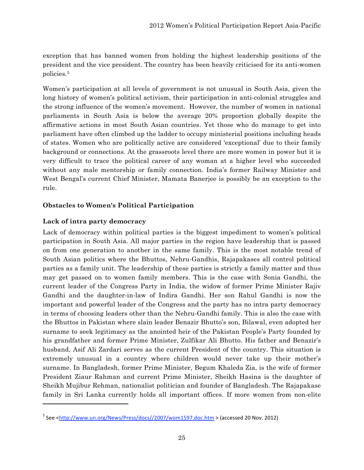exception that has banned women from holding the highest leadership positions of the president and the vice president. The country has been heavily criticised for its anti-women policies.5

Women's participation at all levels of government is not unusual in South Asia, given the long history of women's political activism, their participation in anti-colonial struggles and the strong influence of the women's movement. However, the number of women in national parliaments in South Asia is below the average 20% proportion globally despite the affirmative actions in most South Asian countries. Yet those who do manage to get into parliament have often climbed up the ladder to occupy ministerial positions including heads of states. Women who are politically active are considered 'exceptional' due to their family background or connections. At the grassroots level there are more women in power but it is very difficult to trace the political career of any woman at a higher level who succeeded without any male mentorship or family connection. India's former Railway Minister and West Bengal's current Chief Minister, Mamata Banerjee is possibly be an exception to the rule.

# **Obstacles to Women's Political Participation**

# **Lack of intra party democracy**

<u> 1989 - Johann Stein, fransk politik (d. 1989)</u>

Lack of democracy within political parties is the biggest impediment to women's political participation in South Asia. All major parties in the region have leadership that is passed on from one generation to another in the same family. This is the most notable trend of South Asian politics where the Bhuttos, Nehru-Gandhis, Rajapakases all control political parties as a family unit. The leadership of these parties is strictly a family matter and thus may get passed on to women family members. This is the case with Sonia Gandhi, the current leader of the Congress Party in India, the widow of former Prime Minister Rajiv Gandhi and the daughter-in-law of Indira Gandhi. Her son Rahul Gandhi is now the important and powerful leader of the Congress and the party has no intra party democracy in terms of choosing leaders other than the Nehru-Gandhi family. This is also the case with the Bhuttos in Pakistan where slain leader Benazir Bhutto's son, Bilawal, even adopted her surname to seek legitimacy as the anointed heir of the Pakistan People's Party founded by his grandfather and former Prime Minister, Zulfikar Ali Bhutto. His father and Benazir's husband, Asif Ali Zardari serves as the current President of the country. This situation is extremely unusual in a country where children would never take up their mother's surname. In Bangladesh, former Prime Minister, Begum Khaleda Zia, is the wife of former President Ziaur Rahman and current Prime Minister, Sheikh Hasina is the daughter of Sheikh Mujibur Rehman, nationalist politician and founder of Bangladesh. The Rajapakase family in Sri Lanka currently holds all important offices. If more women from non-elite

<sup>&</sup>lt;sup>5</sup> See <<u>http://www.un.org/News/Press/docs//2007/wom1597.doc.htm</u> > (accessed 20 Nov. 2012)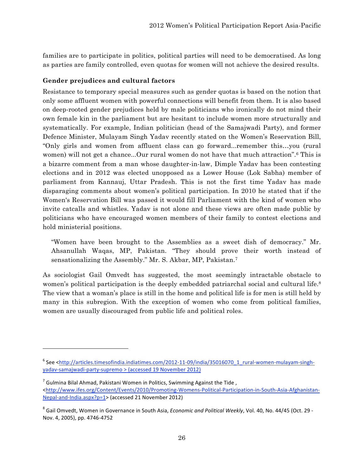families are to participate in politics, political parties will need to be democratised. As long as parties are family controlled, even quotas for women will not achieve the desired results.

### **Gender prejudices and cultural factors**

Resistance to temporary special measures such as gender quotas is based on the notion that only some affluent women with powerful connections will benefit from them. It is also based on deep-rooted gender prejudices held by male politicians who ironically do not mind their own female kin in the parliament but are hesitant to include women more structurally and systematically. For example, Indian politician (head of the Samajwadi Party), and former Defence Minister, Mulayam Singh Yadav recently stated on the Women's Reservation Bill, "Only girls and women from affluent class can go forward...remember this…you (rural women) will not get a chance...Our rural women do not have that much attraction".<sup>6</sup> This is a bizarre comment from a man whose daughter-in-law, Dimple Yadav has been contesting elections and in 2012 was elected unopposed as a Lower House (Lok Sabha) member of parliament from Kannauj, Uttar Pradesh. This is not the first time Yadav has made disparaging comments about women's political participation. In 2010 he stated that if the Women's Reservation Bill was passed it would fill Parliament with the kind of women who invite catcalls and whistles. Yadav is not alone and these views are often made public by politicians who have encouraged women members of their family to contest elections and hold ministerial positions.

"Women have been brought to the Assemblies as a sweet dish of democracy." Mr. Ahsanullah Waqas, MP, Pakistan. "They should prove their worth instead of sensationalizing the Assembly." Mr. S. Akbar, MP, Pakistan.7

As sociologist Gail Omvedt has suggested, the most seemingly intractable obstacle to women's political participation is the deeply embedded patriarchal social and cultural life.<sup>8</sup> The view that a woman's place is still in the home and political life is for men is still held by many in this subregion. With the exception of women who come from political families, women are usually discouraged from public life and political roles.

<sup>&</sup>lt;sup>6</sup> See <http://articles.timesofindia.indiatimes.com/2012-11-09/india/35016070\_1\_rural-women-mulayam-singhyadav‐samajwadi‐party‐supremo > (accessed 19 November 2012)

 $<sup>7</sup>$  Gulmina Bilal Ahmad, Pakistani Women in Politics, Swimming Against the Tide,</sup> <http://www.ifes.org/Content/Events/2010/Promoting-Womens-Political-Participation-in-South-Asia-Afghanistan-Nepal‐and‐India.aspx?p=1> (accessed 21 November 2012)

<sup>8</sup> Gail Omvedt, Women in Governance in South Asia, *Economic and Political Weekly*, Vol. 40, No. 44/45 (Oct. 29 ‐ Nov. 4, 2005), pp. 4746‐4752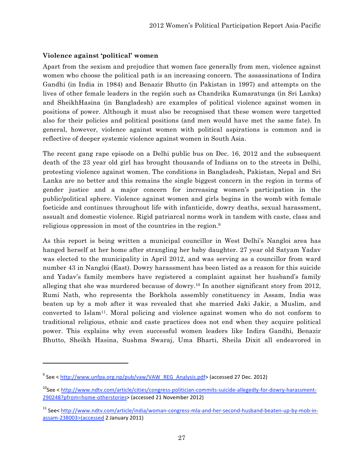### **Violence against 'political' women**

Apart from the sexism and prejudice that women face generally from men, violence against women who choose the political path is an increasing concern. The assassinations of Indira Gandhi (in India in 1984) and Benazir Bhutto (in Pakistan in 1997) and attempts on the lives of other female leaders in the región such as Chandrika Kumaratunga (in Sri Lanka) and SheikhHasina (in Bangladesh) are examples of political violence against women in positions of power. Although it must also be recognised that these women were targetted also for their policies and political positions (and men would have met the same fate). In general, however, violence against women with political aspirations is common and is reflective of deeper systemic violence against women in South Asia.

The recent gang rape episode on a Delhi public bus on Dec. 16, 2012 and the subsequent death of the 23 year old girl has brought thousands of Indians on to the streets in Delhi, protesting violence against women. The conditions in Bangladesh, Pakistan, Nepal and Sri Lanka are no better and this remains the single biggest concern in the region in terms of gender justice and a major concern for increasing women's participation in the public/political sphere. Violence against women and girls begins in the womb with female foeticide and continues throughout life with infanticide, dowry deaths, sexual harassment, assualt and domestic violence. Rigid patriarcal norms work in tandem with caste, class and religious oppression in most of the countries in the region.9

As this report is being written a municipal councillor in West Delhi's Nangloi area has hanged herself at her home after strangling her baby daughter. 27 year old Satyam Yadav was elected to the municipality in April 2012, and was serving as a councillor from ward number 43 in Nangloi (East). Dowry harassment has been listed as a reason for this suicide and Yadav's family members have registered a complaint against her husband's family alleging that she was murdered because of dowry.10 In another significant story from 2012, Rumi Nath, who represents the Borkhola assembly constituency in Assam, India was beaten up by a mob after it was revealed that she married Jaki Jakir, a Muslim, and converted to Islam11. Moral policing and violence against women who do not conform to traditional religious, ethnic and caste practices does not end when they acquire political power. This explains why even successful women leaders like Indira Gandhi, Benazir Bhutto, Sheikh Hasina, Sushma Swaraj, Uma Bharti, Sheila Dixit all endeavored in

<u> 1989 - Johann Stein, fransk politik (d. 1989)</u>

 $9^9$  See < http://www.unfpa.org.np/pub/vaw/VAW\_REG\_Analysis.pdf> (accessed 27 Dec. 2012)

<sup>&</sup>lt;sup>10</sup>See < http://www.ndtv.com/article/cities/congress-politician-commits-suicide-allegedly-for-dowry-harassment-290248?pfrom=home‐otherstories> (accessed 21 November 2012)

<sup>&</sup>lt;sup>11</sup> See< http://www.ndtv.com/article/india/woman-congress-mla-and-her-second-husband-beaten-up-by-mob-inassam‐238003>(accessed 2 January 2011)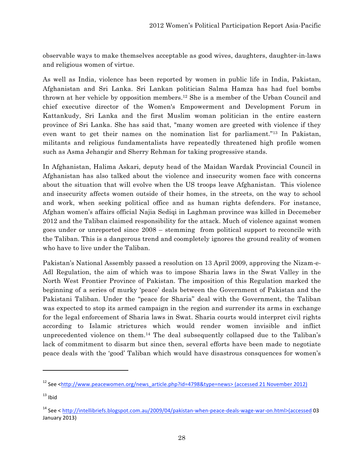observable ways to make themselves acceptable as good wives, daughters, daughter-in-laws and religious women of virtue.

As well as India, violence has been reported by women in public life in India, Pakistan, Afghanistan and Sri Lanka. Sri Lankan politician Salma Hamza has had fuel bombs thrown at her vehicle by opposition members.12 She is a member of the Urban Council and chief executive director of the Women's Empowerment and Development Forum in Kattankudy, Sri Lanka and the first Muslim woman politician in the entire eastern province of Sri Lanka. She has said that, "many women are greeted with violence if they even want to get their names on the nomination list for parliament."13 In Pakistan, militants and religious fundamentalists have repeatedly threatened high profile women such as Asma Jehangir and Sherry Rehman for taking progressive stands.

In Afghanistan, Halima Askari, deputy head of the Maidan Wardak Provincial Council in Afghanistan has also talked about the violence and insecurity women face with concerns about the situation that will evolve when the US troops leave Afghanistan. This violence and insecurity affects women outside of their homes, in the streets, on the way to school and work, when seeking political office and as human rights defenders. For instance, Afghan women's affairs official Najia Sediqi in Laghman province was killed in Decemeber 2012 and the Taliban claimed responsibility for the attack. Much of violence against women goes under or unreported since 2008 – stemming from political support to reconcile with the Taliban. This is a dangerous trend and coompletely ignores the ground reality of women who have to live under the Taliban.

Pakistan's National Assembly passed a resolution on 13 April 2009, approving the Nizam-e-Adl Regulation, the aim of which was to impose Sharia laws in the Swat Valley in the North West Frontier Province of Pakistan. The imposition of this Regulation marked the beginning of a series of murky 'peace' deals between the Government of Pakistan and the Pakistani Taliban. Under the "peace for Sharia" deal with the Government, the Taliban was expected to stop its armed campaign in the region and surrender its arms in exchange for the legal enforcement of Sharia laws in Swat. Sharia courts would interpret civil rights according to Islamic strictures which would render women invisible and inflict unprecedented violence on them.14 The deal subsequently collapsed due to the Taliban's lack of commitment to disarm but since then, several efforts have been made to negotiate peace deals with the 'good' Taliban which would have disastrous consquences for women's

<u> 1989 - Johann Stein, fransk politik (d. 1989)</u>

<sup>&</sup>lt;sup>12</sup> See <http://www.peacewomen.org/news\_article.php?id=4798&type=news> (accessed 21 November 2012)

 $13$  Ibid

<sup>14</sup> See < http://intellibriefs.blogspot.com.au/2009/04/pakistan‐when‐peace‐deals‐wage‐war‐on.html>(accessed 03 January 2013)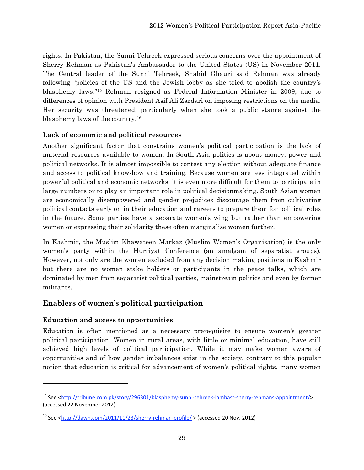rights. In Pakistan, the Sunni Tehreek expressed serious concerns over the appointment of Sherry Rehman as Pakistan's Ambassador to the United States (US) in November 2011. The Central leader of the Sunni Tehreek, Shahid Ghauri said Rehman was already following "policies of the US and the Jewish lobby as she tried to abolish the country's blasphemy laws."15 Rehman resigned as Federal Information Minister in 2009, due to differences of opinion with President Asif Ali Zardari on imposing restrictions on the media. Her security was threatened, particularly when she took a public stance against the blasphemy laws of the country.16

### **Lack of economic and political resources**

Another significant factor that constrains women's political participation is the lack of material resources available to women. In South Asia politics is about money, power and political networks. It is almost impossible to contest any election without adequate finance and access to political know-how and training. Because women are less integrated within powerful political and economic networks, it is even more difficult for them to participate in large numbers or to play an important role in political decisionmaking. South Asian women are economically disempowered and gender prejudices discourage them from cultivating political contacts early on in their education and careers to prepare them for political roles in the future. Some parties have a separate women's wing but rather than empowering women or expressing their solidarity these often marginalise women further.

In Kashmir, the Muslim Khawateen Markaz (Muslim Women's Organisation) is the only women's party within the Hurriyat Conference (an amalgam of separatist groups). However, not only are the women excluded from any decision making positions in Kashmir but there are no women stake holders or participants in the peace talks, which are dominated by men from separatist political parties, mainstream politics and even by former militants.

# **Enablers of women's political participation**

### **Education and access to opportunities**

<u> 1989 - Johann Stein, fransk politik (d. 1989)</u>

Education is often mentioned as a necessary prerequisite to ensure women's greater political participation. Women in rural areas, with little or minimal education, have still achieved high levels of political participation. While it may make women aware of opportunities and of how gender imbalances exist in the society, contrary to this popular notion that education is critical for advancement of women's political rights, many women

<sup>15</sup> See <http://tribune.com.pk/story/296301/blasphemy‐sunni‐tehreek‐lambast‐sherry‐rehmans‐appointment/> (accessed 22 November 2012)

<sup>16</sup> See <http://dawn.com/2011/11/23/sherry‐rehman‐profile/ > (accessed 20 Nov. 2012)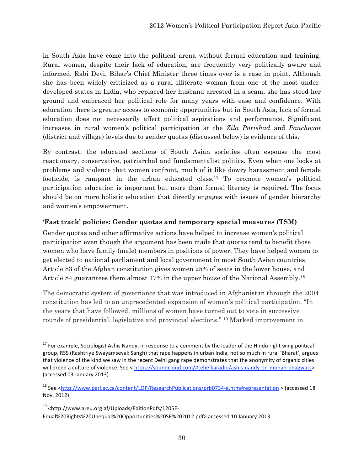in South Asia have come into the political arena without formal education and training. Rural women, despite their lack of education, are frequently very politically aware and informed. Rabi Devi, Bihar's Chief Minister three times over is a case in point. Although she has been widely criticized as a rural illiterate woman from one of the most underdeveloped states in India, who replaced her husband arrested in a scam, she has stood her ground and embraced her political role for many years with ease and confidence. With education there is greater access to economic opportunities but in South Asia, lack of formal education does not necessarily affect political aspirations and performance. Significant increases in rural women's political participation at the *Zila Parishad* and *Panchayat* (district and village) levels due to gender quotas (discussed below) is evidence of this.

By contrast, the educated sections of South Asian societies often espouse the most reactionary, conservative, patriarchal and fundamentalist politics. Even when one looks at problems and violence that women confront, much of it like dowry harassment and female foeticide, is rampant in the urban educated class. <sup>17</sup> To promote women's political participation education is important but more than formal literacy is required. The focus should be on more holistic education that directly engages with issues of gender hierarchy and women's empowerment.

# **'Fast track' policies: Gender quotas and temporary special measures (TSM)**

Gender quotas and other affirmative actions have helped to increase women's political participation even though the argument has been made that quotas tend to benefit those women who have family (male) members in positions of power. They have helped women to get elected to national parliament and local government in most South Asian countries. Article 83 of the Afghan constitution gives women 25% of seats in the lower house, and Article 84 guarantees them almost 17% in the upper house of the National Assembly.18

The democratic system of governance that was introduced in Afghanistan through the 2004 constitution has led to an unprecedented expansion of women's political participation. "In the years that have followed, millions of women have turned out to vote in successive rounds of presidential, legislative and provincial elections." 19 Marked improvement in

 $17$  For example, Sociologist Ashis Nandy, in response to a comment by the leader of the Hindu right wing political group, RSS (Rashtriye Swayamsevak Sangh) that rape happens in urban India, not so much in rural 'Bharat', argues that violence of the kind we saw in the recent Delhi gang rape demonstrates that the anonymity of organic cities will breed a culture of violence. See < https://soundcloud.com/#tehelkaradio/ashis-nandy-on-mohan-bhagwats> (accessed 03 January 2013)

<sup>&</sup>lt;sup>18</sup> See <http://www.parl.gc.ca/content/LOP/ResearchPublications/prb0734-e.htm#representation > (accessed 18 Nov. 2012)

<sup>19 &</sup>lt;http://www.areu.org.af/Uploads/EditionPdfs/1205E‐

Equal%20Rights%20Unequal%20Opportunities%20SP%202012.pdf> accessed 10 January 2013.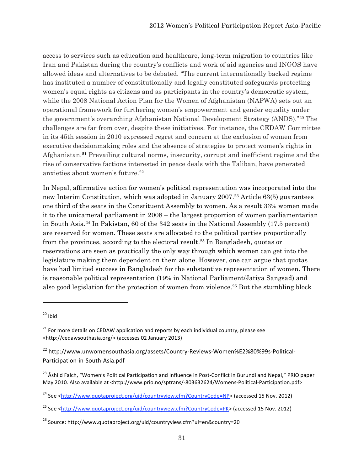access to services such as education and healthcare, long-term migration to countries like Iran and Pakistan during the country's conflicts and work of aid agencies and INGOS have allowed ideas and alternatives to be debated. "The current internationally backed regime has instituted a number of constitutionally and legally constituted safeguards protecting women's equal rights as citizens and as participants in the country's democratic system, while the 2008 National Action Plan for the Women of Afghanistan (NAPWA) sets out an operational framework for furthering women's empowerment and gender equality under the government's overarching Afghanistan National Development Strategy (ANDS)."20 The challenges are far from over, despite these initiatives. For instance, the CEDAW Committee in its 45th session in 2010 expressed regret and concern at the exclusion of women from executive decisionmaking roles and the absence of strategies to protect women's rights in Afghanistan.**<sup>21</sup>** Prevailing cultural norms, insecurity, corrupt and inefficient regime and the rise of conservative factions interested in peace deals with the Taliban, have generated anxieties about women's future.22

In Nepal, affirmative action for women's political representation was incorporated into the new Interim Constitution, which was adopted in January 2007.23 Article 63(5) guarantees one third of the seats in the Constituent Assembly to women. As a result 33% women made it to the unicameral parliament in 2008 – the largest proportion of women parliamentarian in South Asia. 24 In Pakistan, 60 of the 342 seats in the National Assembly (17.5 percent) are reserved for women. These seats are allocated to the political parties proportionally from the provinces, according to the electoral result.25 In Bangladesh, quotas or reservations are seen as practically the only way through which women can get into the legislature making them dependent on them alone. However, one can argue that quotas have had limited success in Bangladesh for the substantive representation of women. There is reasonable political representation (19% in National Parliament/Jatiya Sangsad) and also good legislation for the protection of women from violence. <sup>26</sup> But the stumbling block

<u> 1989 - Johann Stein, fransk politik (d. 1989)</u>

 $20$  Ibid

 $21$  For more details on CEDAW application and reports by each individual country, please see <http://cedawsouthasia.org/> (accesses 02 January 2013)

<sup>&</sup>lt;sup>22</sup> http://www.unwomensouthasia.org/assets/Country-Reviews-Women%E2%80%99s-Political-Participation‐in‐South‐Asia.pdf

<sup>&</sup>lt;sup>23</sup> Åshild Falch, "Women's Political Participation and Influence in Post-Conflict in Burundi and Nepal," PRIO paper May 2010. Also available at <http://www.prio.no/sptrans/-803632624/Womens-Political-Participation.pdf>

<sup>24</sup> See <http://www.quotaproject.org/uid/countryview.cfm?CountryCode=NP> (accessed 15 Nov. 2012)

<sup>&</sup>lt;sup>25</sup> See <http://www.quotaproject.org/uid/countryview.cfm?CountryCode=PK> (accessed 15 Nov. 2012)

<sup>&</sup>lt;sup>26</sup> Source: http://www.quotaproject.org/uid/countryview.cfm?ul=en&country=20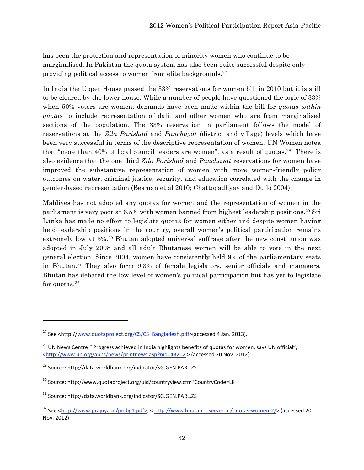has been the protection and representation of minority women who continue to be marginalised. In Pakistan the quota system has also been quite successful despite only providing political access to women from elite backgrounds.27

In India the Upper House passed the 33% reservations for women bill in 2010 but it is still to be cleared by the lower house. While a number of people have questioned the logic of 33% when 50% voters are women, demands have been made within the bill for *quotas within quotas* to include representation of dalit and other women who are from marginalised sections of the population. The 33% reservation in parliament follows the model of reservations at the *Zila Parishad* and *Panchayat* (district and village) levels which have been very successful in terms of the descriptive representation of women. UN Women notea that "more than 40% of local council leaders are women", as a result of quotas.<sup>28</sup> There is also evidence that the one third *Zila Parishad* and *Panchayat* reservations for women have improved the substantive representation of women with more women-friendly policy outcomes on water, criminal justice, security, and education correlated with the change in gender-based representation (Beaman et al 2010; Chattopadhyay and Duflo 2004).

Maldives has not adopted any quotas for women and the representation of women in the parliament is very poor at 6.5% with women banned from highest leadership positions.29 Sri Lanka has made no effort to legislate quotas for women either and despite women having held leadership positions in the country, overall women's political participation remains extremely low at 5%. 30 Bhutan adopted universal suffrage after the new constitution was adopted in July 2008 and all adult Bhutanese women will be able to vote in the next general election. Since 2004, women have consistently held 9% of the parliamentary seats in Bhutan.31 They also form 9.3% of female legislators, senior officials and managers. Bhutan has debated the low level of women's political participation but has yet to legislate for quotas.32

<u> 1989 - Johann Stein, fransk politik (d. 1989)</u>

<sup>&</sup>lt;sup>27</sup> See <http://www.quotaproject.org/CS/CS\_Bangladesh.pdf>(accessed 4 Jan. 2013).

 $^{28}$  UN News Centre " Progress achieved in India highlights benefits of quotas for women, says UN official", <http://www.un.org/apps/news/printnews.asp?nid=43202 > (accessed 20 Nov. 2012)

<sup>29</sup> Source: http;//data.worldbank.org/indicator/SG.GEN.PARL.ZS

<sup>30</sup> Source: http://www.quotaproject.org/uid/countryview.cfm?CountryCode=LK

<sup>31</sup> Source: http://data.worldbank.org/indicator/SG.GEN.PARL.ZS

<sup>32</sup> See <http://www.prajnya.in/prcbg1.pdf>; < http://www.bhutanobserver.bt/quotas‐women‐2/> (accessed 20 Nov. 2012)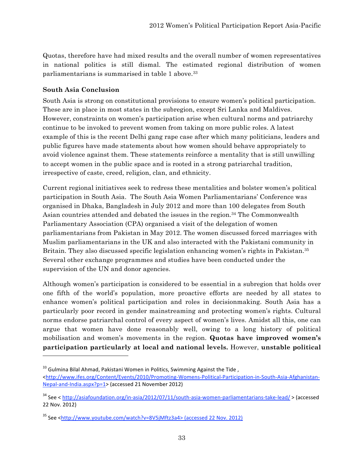Quotas, therefore have had mixed results and the overall number of women representatives in national politics is still dismal. The estimated regional distribution of women parliamentarians is summarised in table 1 above.33

# **South Asia Conclusion**

<u> 1989 - Johann Stein, fransk politik (d. 1989)</u>

South Asia is strong on constitutional provisions to ensure women's political participation. These are in place in most states in the subregion, except Sri Lanka and Maldives. However, constraints on women's participation arise when cultural norms and patriarchy continue to be invoked to prevent women from taking on more public roles. A latest example of this is the recent Delhi gang rape case after which many politicians, leaders and public figures have made statements about how women should behave appropriately to avoid violence against them. These statements reinforce a mentality that is still unwilling to accept women in the public space and is rooted in a strong patriarchal tradition, irrespective of caste, creed, religion, clan, and ethnicity.

Current regional initiatives seek to redress these mentalities and bolster women's political participation in South Asia. The South Asia Women Parliamentarians' Conference was organised in Dhaka, Bangladesh in July 2012 and more than 100 delegates from South Asian countries attended and debated the issues in the region*.* <sup>34</sup> The Commonwealth Parliamentary Association (CPA) organised a visit of the delegation of women parliamentarians from Pakistan in May 2012. The women discussed forced marriages with Muslim parliamentarians in the UK and also interacted with the Pakistani community in Britain. They also discussed specific legislation enhancing women's rights in Pakistan.35 Several other exchange programmes and studies have been conducted under the supervision of the UN and donor agencies.

Although women's participation is considered to be essential in a subregion that holds over one fifth of the world's population, more proactive efforts are needed by all states to enhance women's political participation and roles in decisionmaking. South Asia has a particularly poor record in gender mainstreaming and protecting women's rights. Cultural norms endorse patriarchal control of every aspect of women's lives. Amidst all this, one can argue that women have done reasonably well, owing to a long history of political mobilisation and women's movements in the region. **Quotas have improved women's participation particularly at local and national levels.** However, **unstable political** 

 $33$  Gulmina Bilal Ahmad, Pakistani Women in Politics, Swimming Against the Tide,

<sup>&</sup>lt;http://www.ifes.org/Content/Events/2010/Promoting-Womens-Political-Participation-in-South-Asia-Afghanistan-Nepal‐and‐India.aspx?p=1> (accessed 21 November 2012)

<sup>34</sup> See < http://asiafoundation.org/in‐asia/2012/07/11/south‐asia‐women‐parliamentarians‐take‐lead/ > (accessed 22 Nov. 2012)

<sup>35</sup> See <http://www.youtube.com/watch?v=8V5jMftz3a4> (accessed 22 Nov. 2012)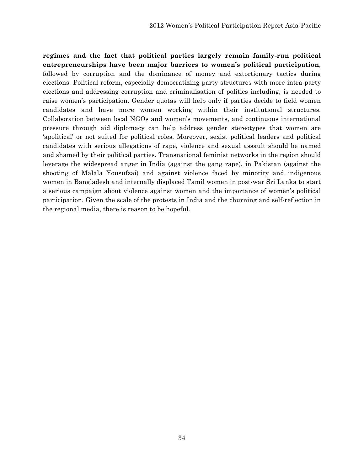**regimes and the fact that political parties largely remain family-run political entrepreneurships have been major barriers to women's political participation**, followed by corruption and the dominance of money and extortionary tactics during elections. Political reform, especially democratizing party structures with more intra-party elections and addressing corruption and criminalisation of politics including, is needed to raise women's participation. Gender quotas will help only if parties decide to field women candidates and have more women working within their institutional structures. Collaboration between local NGOs and women's movements, and continuous international pressure through aid diplomacy can help address gender stereotypes that women are 'apolitical' or not suited for political roles. Moreover, sexist political leaders and political candidates with serious allegations of rape, violence and sexual assault should be named and shamed by their political parties. Transnational feminist networks in the region should leverage the widespread anger in India (against the gang rape), in Pakistan (against the shooting of Malala Yousufzai) and against violence faced by minority and indigenous women in Bangladesh and internally displaced Tamil women in post-war Sri Lanka to start a serious campaign about violence against women and the importance of women's political participation. Given the scale of the protests in India and the churning and self-reflection in the regional media, there is reason to be hopeful.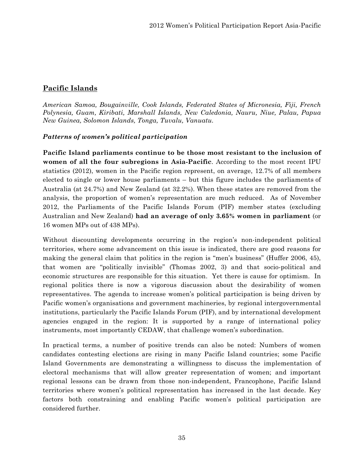# **Pacific Islands**

*American Samoa, Bougainville, Cook Islands, Federated States of Micronesia, Fiji, French Polynesia, Guam, Kiribati, Marshall Islands, New Caledonia, Nauru, Niue, Palau, Papua New Guinea, Solomon Islands, Tonga, Tuvalu, Vanuatu.*

### *Patterns of women's political participation*

**Pacific Island parliaments continue to be those most resistant to the inclusion of women of all the four subregions in Asia-Pacific**. According to the most recent IPU statistics (2012), women in the Pacific region represent, on average, 12.7% of all members elected to single or lower house parliaments – but this figure includes the parliaments of Australia (at 24.7%) and New Zealand (at 32.2%). When these states are removed from the analysis, the proportion of women's representation are much reduced. As of November 2012, the Parliaments of the Pacific Islands Forum (PIF) member states (excluding Australian and New Zealand) **had an average of only 3.65% women in parliament** (or 16 women MPs out of 438 MPs).

Without discounting developments occurring in the region's non-independent political territories, where some advancement on this issue is indicated, there are good reasons for making the general claim that politics in the region is "men's business" (Huffer 2006, 45), that women are "politically invisible" (Thomas 2002, 3) and that socio-political and economic structures are responsible for this situation. Yet there is cause for optimism. In regional politics there is now a vigorous discussion about the desirability of women representatives. The agenda to increase women's political participation is being driven by Pacific women's organisations and government machineries, by regional intergovernmental institutions, particularly the Pacific Islands Forum (PIF), and by international development agencies engaged in the region: It is supported by a range of international policy instruments, most importantly CEDAW, that challenge women's subordination.

In practical terms, a number of positive trends can also be noted: Numbers of women candidates contesting elections are rising in many Pacific Island countries; some Pacific Island Governments are demonstrating a willingness to discuss the implementation of electoral mechanisms that will allow greater representation of women; and important regional lessons can be drawn from those non-independent, Francophone, Pacific Island territories where women's political representation has increased in the last decade. Key factors both constraining and enabling Pacific women's political participation are considered further.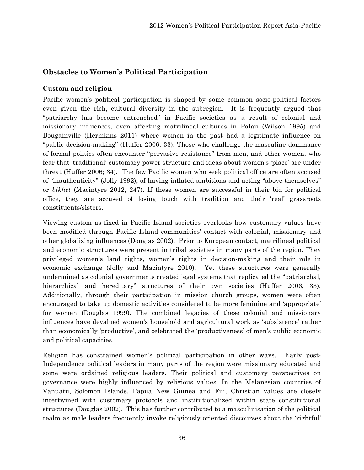# **Obstacles to Women's Political Participation**

### **Custom and religion**

Pacific women's political participation is shaped by some common socio-political factors even given the rich, cultural diversity in the subregion. It is frequently argued that "patriarchy has become entrenched" in Pacific societies as a result of colonial and missionary influences, even affecting matrilineal cultures in Palau (Wilson 1995) and Bougainville (Hermkins 2011) where women in the past had a legitimate influence on "public decision-making" (Huffer 2006; 33). Those who challenge the masculine dominance of formal politics often encounter "pervasive resistance" from men, and other women, who fear that 'traditional' customary power structure and ideas about women's 'place' are under threat (Huffer 2006; 34). The few Pacific women who seek political office are often accused of "inauthenticity" (Jolly 1992), of having inflated ambitions and acting "above themselves" or *bikhet* (Macintyre 2012, 247). If these women are successful in their bid for political office, they are accused of losing touch with tradition and their 'real' grassroots constituents/sisters.

Viewing custom as fixed in Pacific Island societies overlooks how customary values have been modified through Pacific Island communities' contact with colonial, missionary and other globalizing influences (Douglas 2002). Prior to European contact, matrilineal political and economic structures were present in tribal societies in many parts of the region. They privileged women's land rights, women's rights in decision-making and their role in economic exchange (Jolly and Macintyre 2010). Yet these structures were generally undermined as colonial governments created legal systems that replicated the "patriarchal, hierarchical and hereditary" structures of their own societies (Huffer 2006, 33). Additionally, through their participation in mission church groups, women were often encouraged to take up domestic activities considered to be more feminine and 'appropriate' for women (Douglas 1999). The combined legacies of these colonial and missionary influences have devalued women's household and agricultural work as 'subsistence' rather than economically 'productive', and celebrated the 'productiveness' of men's public economic and political capacities.

Religion has constrained women's political participation in other ways. Early post-Independence political leaders in many parts of the region were missionary educated and some were ordained religious leaders. Their political and customary perspectives on governance were highly influenced by religious values. In the Melanesian countries of Vanuatu, Solomon Islands, Papua New Guinea and Fiji, Christian values are closely intertwined with customary protocols and institutionalized within state constitutional structures (Douglas 2002). This has further contributed to a masculinisation of the political realm as male leaders frequently invoke religiously oriented discourses about the 'rightful'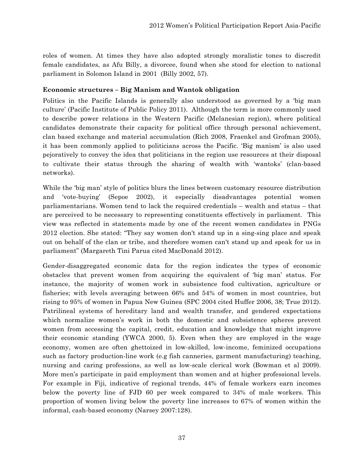roles of women. At times they have also adopted strongly moralistic tones to discredit female candidates, as Afu Billy, a divorcee, found when she stood for election to national parliament in Solomon Island in 2001 (Billy 2002, 57).

# **Economic structures – Big Manism and Wantok obligation**

Politics in the Pacific Islands is generally also understood as governed by a 'big man culture' (Pacific Institute of Public Policy 2011). Although the term is more commonly used to describe power relations in the Western Pacific (Melanesian region), where political candidates demonstrate their capacity for political office through personal achievement, clan based exchange and material accumulation (Rich 2008, Fraenkel and Grofman 2005), it has been commonly applied to politicians across the Pacific. 'Big manism' is also used pejoratively to convey the idea that politicians in the region use resources at their disposal to cultivate their status through the sharing of wealth with 'wantoks' (clan-based networks).

While the 'big man' style of politics blurs the lines between customary resource distribution and 'vote-buying' (Sepoe 2002), it especially disadvantages potential women parliamentarians. Women tend to lack the required credentials – wealth and status – that are perceived to be necessary to representing constituents effectively in parliament.This view was reflected in statements made by one of the recent women candidates in PNGs 2012 election. She stated: "They say women don't stand up in a sing-sing place and speak out on behalf of the clan or tribe, and therefore women can't stand up and speak for us in parliament" (Margareth Tini Parua cited MacDonald 2012).

Gender-disaggregated economic data for the region indicates the types of economic obstacles that prevent women from acquiring the equivalent of 'big man' status. For instance, the majority of women work in subsistence food cultivation, agriculture or fisheries; with levels averaging between 66% and 54% of women in most countries, but rising to 95% of women in Papua New Guinea (SPC 2004 cited Huffer 2006, 38; True 2012). Patrilineal systems of hereditary land and wealth transfer, and gendered expectations which normalize women's work in both the domestic and subsistence spheres prevent women from accessing the capital, credit, education and knowledge that might improve their economic standing (YWCA 2000, 5). Even when they are employed in the wage economy, women are often ghettoized in low-skilled, low-income, feminized occupations such as factory production-line work (e.g fish canneries, garment manufacturing) teaching, nursing and caring professions, as well as low-scale clerical work (Bowman et al 2009). More men's participate in paid employment than women and at higher professional levels. For example in Fiji, indicative of regional trends, 44% of female workers earn incomes below the poverty line of FJD 60 per week compared to 34% of male workers. This proportion of women living below the poverty line increases to 67% of women within the informal, cash-based economy (Narsey 2007:128).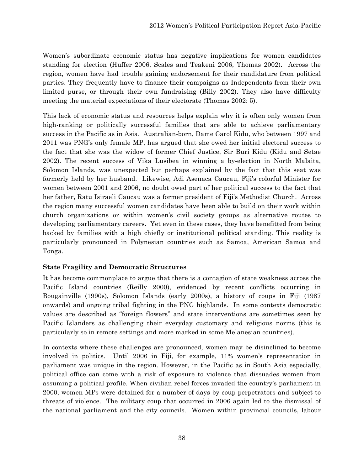Women's subordinate economic status has negative implications for women candidates standing for election (Huffer 2006, Scales and Teakeni 2006, Thomas 2002). Across the region, women have had trouble gaining endorsement for their candidature from political parties. They frequently have to finance their campaigns as Independents from their own limited purse, or through their own fundraising (Billy 2002). They also have difficulty meeting the material expectations of their electorate (Thomas 2002: 5).

This lack of economic status and resources helps explain why it is often only women from high-ranking or politically successful families that are able to achieve parliamentary success in the Pacific as in Asia. Australian-born, Dame Carol Kidu, who between 1997 and 2011 was PNG's only female MP, has argued that she owed her initial electoral success to the fact that she was the widow of former Chief Justice, Sir Buri Kidu (Kidu and Setae 2002). The recent success of Vika Lusibea in winning a by-election in North Malaita, Solomon Islands, was unexpected but perhaps explained by the fact that this seat was formerly held by her husband. Likewise, Adi Asenaca Caucau, Fiji's colorful Minister for women between 2001 and 2006, no doubt owed part of her political success to the fact that her father, Ratu Isiraeli Caucau was a former president of Fiji's Methodist Church. Across the region many successful women candidates have been able to build on their work within church organizations or within women's civil society groups as alternative routes to developing parliamentary careers. Yet even in these cases, they have benefitted from being backed by families with a high chiefly or institutional political standing. This reality is particularly pronounced in Polynesian countries such as Samoa, American Samoa and Tonga.

### **State Fragility and Democratic Structures**

It has become commonplace to argue that there is a contagion of state weakness across the Pacific Island countries (Reilly 2000), evidenced by recent conflicts occurring in Bougainville (1990s), Solomon Islands (early 2000s), a history of coups in Fiji (1987 onwards) and ongoing tribal fighting in the PNG highlands. In some contexts democratic values are described as "foreign flowers" and state interventions are sometimes seen by Pacific Islanders as challenging their everyday customary and religious norms (this is particularly so in remote settings and more marked in some Melanesian countries).

In contexts where these challenges are pronounced, women may be disinclined to become involved in politics. Until 2006 in Fiji, for example, 11% women's representation in parliament was unique in the region. However, in the Pacific as in South Asia especially, political office can come with a risk of exposure to violence that dissuades women from assuming a political profile. When civilian rebel forces invaded the country's parliament in 2000, women MPs were detained for a number of days by coup perpetrators and subject to threats of violence. The military coup that occurred in 2006 again led to the dismissal of the national parliament and the city councils. Women within provincial councils, labour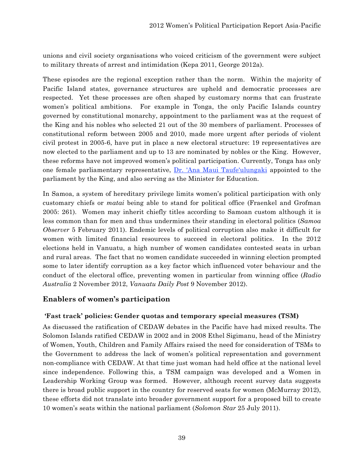unions and civil society organisations who voiced criticism of the government were subject to military threats of arrest and intimidation (Kepa 2011, George 2012a).

These episodes are the regional exception rather than the norm. Within the majority of Pacific Island states, governance structures are upheld and democratic processes are respected. Yet these processes are often shaped by customary norms that can frustrate women's political ambitions. For example in Tonga, the only Pacific Islands country governed by constitutional monarchy, appointment to the parliament was at the request of the King and his nobles who selected 21 out of the 30 members of parliament. Processes of constitutional reform between 2005 and 2010, made more urgent after periods of violent civil protest in 2005-6, have put in place a new electoral structure: 19 representatives are now elected to the parliament and up to 13 are nominated by nobles or the King. However, these reforms have not improved women's political participation. Currently, Tonga has only one female parliamentary representative, Dr. 'Ana Maui Taufe'ulungaki appointed to the parliament by the King, and also serving as the Minister for Education.

In Samoa, a system of hereditary privilege limits women's political participation with only customary chiefs or *matai* being able to stand for political office (Fraenkel and Grofman 2005: 261). Women may inherit chiefly titles according to Samoan custom although it is less common than for men and thus undermines their standing in electoral politics (*Samoa Observer* 5 February 2011). Endemic levels of political corruption also make it difficult for women with limited financial resources to succeed in electoral politics. In the 2012 elections held in Vanuatu, a high number of women candidates contested seats in urban and rural areas. The fact that no women candidate succeeded in winning election prompted some to later identify corruption as a key factor which influenced voter behaviour and the conduct of the electoral office, preventing women in particular from winning office (*Radio Australia* 2 November 2012, *Vanuatu Daily Post* 9 November 2012).

# **Enablers of women's participation**

# **'Fast track' policies: Gender quotas and temporary special measures (TSM)**

As discussed the ratification of CEDAW debates in the Pacific have had mixed results. The Solomon Islands ratified CEDAW in 2002 and in 2008 Ethel Sigimanu, head of the Ministry of Women, Youth, Children and Family Affairs raised the need for consideration of TSMs to the Government to address the lack of women's political representation and government non-compliance with CEDAW. At that time just woman had held office at the national level since independence. Following this, a TSM campaign was developed and a Women in Leadership Working Group was formed. However, although recent survey data suggests there is broad public support in the country for reserved seats for women (McMurray 2012), these efforts did not translate into broader government support for a proposed bill to create 10 women's seats within the national parliament (*Solomon Star* 25 July 2011).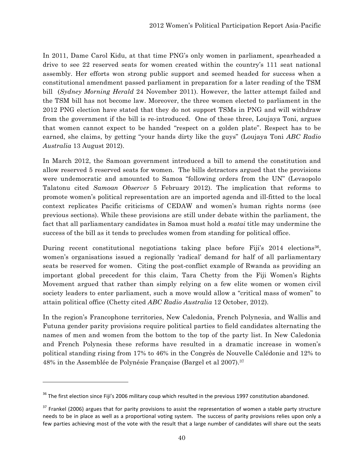In 2011, Dame Carol Kidu, at that time PNG's only women in parliament, spearheaded a drive to see 22 reserved seats for women created within the country's 111 seat national assembly. Her efforts won strong public support and seemed headed for success when a constitutional amendment passed parliament in preparation for a later reading of the TSM bill (*Sydney Morning Herald* 24 November 2011). However, the latter attempt failed and the TSM bill has not become law. Moreover, the three women elected to parliament in the 2012 PNG election have stated that they do not support TSMs in PNG and will withdraw from the government if the bill is re-introduced. One of these three, Loujaya Toni, argues that women cannot expect to be handed "respect on a golden plate". Respect has to be earned, she claims, by getting "your hands dirty like the guys" (Loujaya Toni *ABC Radio Australia* 13 August 2012).

In March 2012, the Samoan government introduced a bill to amend the constitution and allow reserved 5 reserved seats for women. The bills detractors argued that the provisions were undemocratic and amounted to Samoa "following orders from the UN" (Levaopolo Talatonu cited *Samoan Observer* 5 February 2012). The implication that reforms to promote women's political representation are an imported agenda and ill-fitted to the local context replicates Pacific criticisms of CEDAW and women's human rights norms (see previous sections). While these provisions are still under debate within the parliament, the fact that all parliamentary candidates in Samoa must hold a *matai* title may undermine the success of the bill as it tends to precludes women from standing for political office.

During recent constitutional negotiations taking place before Fiji's 2014 elections<sup>36</sup>, women's organisations issued a regionally 'radical' demand for half of all parliamentary seats be reserved for women. Citing the post-conflict example of Rwanda as providing an important global precedent for this claim, Tara Chetty from the Fiji Women's Rights Movement argued that rather than simply relying on a few elite women or women civil society leaders to enter parliament, such a move would allow a "critical mass of women" to attain political office (Chetty cited *ABC Radio Australia* 12 October, 2012).

In the region's Francophone territories, New Caledonia, French Polynesia, and Wallis and Futuna gender parity provisions require political parties to field candidates alternating the names of men and women from the bottom to the top of the party list. In New Caledonia and French Polynesia these reforms have resulted in a dramatic increase in women's political standing rising from 17% to 46% in the Congrès de Nouvelle Calédonie and 12% to 48% in the Assemblée de Polynésie Française (Bargel et al 2007).<sup>37</sup>

<sup>&</sup>lt;sup>36</sup> The first election since Fiji's 2006 military coup which resulted in the previous 1997 constitution abandoned.

 $37$  Frankel (2006) argues that for parity provisions to assist the representation of women a stable party structure needs to be in place as well as a proportional voting system. The success of parity provisions relies upon only a few parties achieving most of the vote with the result that a large number of candidates will share out the seats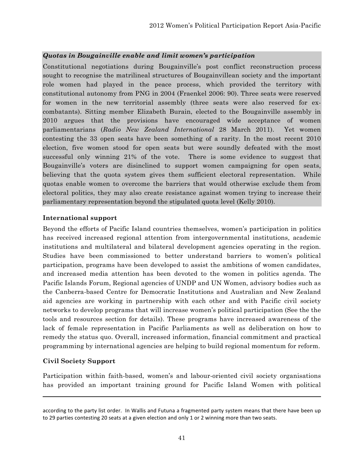# *Quotas in Bougainville enable and limit women's participation*

Constitutional negotiations during Bougainville's post conflict reconstruction process sought to recognise the matrilineal structures of Bougainvillean society and the important role women had played in the peace process, which provided the territory with constitutional autonomy from PNG in 2004 (Fraenkel 2006: 90). Three seats were reserved for women in the new territorial assembly (three seats were also reserved for excombatants). Sitting member Elizabeth Burain, elected to the Bougainville assembly in 2010 argues that the provisions have encouraged wide acceptance of women parliamentarians (*Radio New Zealand International* 28 March 2011). Yet women contesting the 33 open seats have been something of a rarity. In the most recent 2010 election, five women stood for open seats but were soundly defeated with the most successful only winning 21% of the vote. There is some evidence to suggest that Bougainville's voters are disinclined to support women campaigning for open seats, believing that the quota system gives them sufficient electoral representation. While quotas enable women to overcome the barriers that would otherwise exclude them from electoral politics, they may also create resistance against women trying to increase their parliamentary representation beyond the stipulated quota level (Kelly 2010).

### **International support**

Beyond the efforts of Pacific Island countries themselves, women's participation in politics has received increased regional attention from intergovernmental institutions, academic institutions and multilateral and bilateral development agencies operating in the region. Studies have been commissioned to better understand barriers to women's political participation, programs have been developed to assist the ambitions of women candidates, and increased media attention has been devoted to the women in politics agenda. The Pacific Islands Forum, Regional agencies of UNDP and UN Women, advisory bodies such as the Canberra-based Centre for Democratic Institutions and Australian and New Zealand aid agencies are working in partnership with each other and with Pacific civil society networks to develop programs that will increase women's political participation (See the the tools and resources section for details). These programs have increased awareness of the lack of female representation in Pacific Parliaments as well as deliberation on how to remedy the status quo. Overall, increased information, financial commitment and practical programming by international agencies are helping to build regional momentum for reform.

# **Civil Society Support**

Participation within faith-based, women's and labour-oriented civil society organisations has provided an important training ground for Pacific Island Women with political

<u> 1989 - Andrea Santa Andrea Andrea Andrea Andrea Andrea Andrea Andrea Andrea Andrea Andrea Andrea Andrea Andr</u>

according to the party list order. In Wallis and Futuna a fragmented party system means that there have been up to 29 parties contesting 20 seats at a given election and only 1 or 2 winning more than two seats.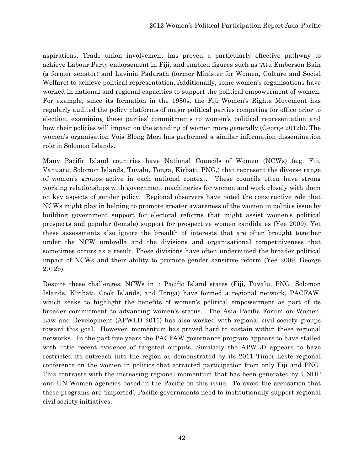aspirations. Trade union involvement has proved a particularly effective pathway to achieve Labour Party endorsement in Fiji, and enabled figures such as 'Atu Emberson Bain (a former senator) and Lavinia Padarath (former Minister for Women, Culture and Social Welfare) to achieve political representation. Additionally, some women's organisations have worked in national and regional capacities to support the political empowerment of women. For example, since its formation in the 1980s, the Fiji Women's Rights Movement has regularly audited the policy platforms of major political parties competing for office prior to election, examining these parties' commitments to women's political representation and how their policies will impact on the standing of women more generally (George 2012b). The women's organisation Vois Blong Meri has performed a similar information dissemination role in Solomon Islands.

Many Pacific Island countries have National Councils of Women (NCWs) (e.g. Fiji, Vanuatu, Solomon Islands, Tuvalu, Tonga, Kirbati, PNG,) that represent the diverse range of women's groups active in each national context. These councils often have strong working relationships with government machineries for women and work closely with them on key aspects of gender policy. Regional observers have noted the constructive role that NCWs might play in helping to promote greater awareness of the women in politics issue by building government support for electoral reforms that might assist women's political prospects and popular (female) support for prospective women candidates (Yee 2009). Yet these assessments also ignore the breadth of interests that are often brought together under the NCW umbrella and the divisions and organisational competitiveness that sometimes occurs as a result. These divisions have often undermined the broader political impact of NCWs and their ability to promote gender sensitive reform (Yee 2009, George 2012b).

Despite these challenges, NCWs in 7 Pacific Island states (Fiji, Tuvalu, PNG, Solomon Islands, Kiribati, Cook Islands, and Tonga) have formed a regional network, PACFAW, which seeks to highlight the benefits of women's political empowerment as part of its broader commitment to advancing women's status. The Asia Pacific Forum on Women, Law and Development (APWLD 2011) has also worked with regional civil society groups toward this goal. However, momentum has proved hard to sustain within these regional networks. In the past five years the PACFAW governance program appears to have stalled with little recent evidence of targeted outputs. Similarly the APWLD appears to have restricted its outreach into the region as demonstrated by its 2011 Timor-Leste regional conference on the women in politics that attracted participation from only Fiji and PNG. This contrasts with the increasing regional momentum that has been generated by UNDP and UN Women agencies based in the Pacific on this issue. To avoid the accusation that these programs are 'imported', Pacific governments need to institutionally support regional civil society initiatives.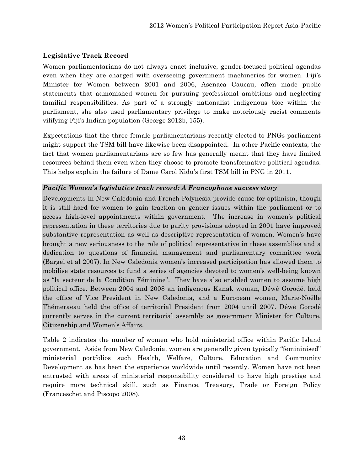# **Legislative Track Record**

Women parliamentarians do not always enact inclusive, gender-focused political agendas even when they are charged with overseeing government machineries for women. Fiji's Minister for Women between 2001 and 2006, Asenaca Caucau, often made public statements that admonished women for pursuing professional ambitions and neglecting familial responsibilities. As part of a strongly nationalist Indigenous bloc within the parliament, she also used parliamentary privilege to make notoriously racist comments vilifying Fiji's Indian population (George 2012b, 155).

Expectations that the three female parliamentarians recently elected to PNGs parliament might support the TSM bill have likewise been disappointed. In other Pacific contexts, the fact that women parliamentarians are so few has generally meant that they have limited resources behind them even when they choose to promote transformative political agendas. This helps explain the failure of Dame Carol Kidu's first TSM bill in PNG in 2011.

### *Pacific Women's legislative track record: A Francophone success story*

Developments in New Caledonia and French Polynesia provide cause for optimism, though it is still hard for women to gain traction on gender issues within the parliament or to access high-level appointments within government. The increase in women's political representation in these territories due to parity provisions adopted in 2001 have improved substantive representation as well as descriptive representation of women. Women's have brought a new seriousness to the role of political representative in these assemblies and a dedication to questions of financial management and parliamentary committee work (Bargel et al 2007). In New Caledonia women's increased participation has allowed them to mobilise state resources to fund a series of agencies devoted to women's well-being known as "la secteur de la Condition Féminine". They have also enabled women to assume high political office. Between 2004 and 2008 an indigenous Kanak woman, Déwé Gorodé, held the office of Vice President in New Caledonia, and a European women, Marie-Noëlle Thémeraeau held the office of territorial President from 2004 until 2007. Déwé Gorodé currently serves in the current territorial assembly as government Minister for Culture, Citizenship and Women's Affairs.

Table 2 indicates the number of women who hold ministerial office within Pacific Island government. Aside from New Caledonia, women are generally given typically "femininised" ministerial portfolios such Health, Welfare, Culture, Education and Community Development as has been the experience worldwide until recently. Women have not been entrusted with areas of ministerial responsibility considered to have high prestige and require more technical skill, such as Finance, Treasury, Trade or Foreign Policy (Franceschet and Piscopo 2008).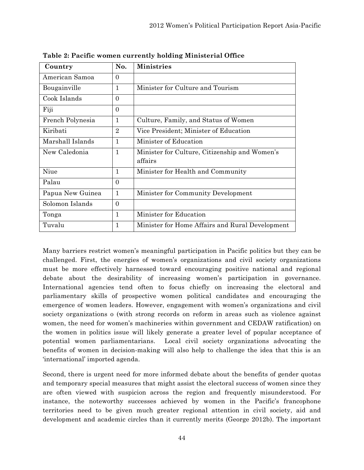| Country          | No.            | <b>Ministries</b>                                        |
|------------------|----------------|----------------------------------------------------------|
| American Samoa   | $\Omega$       |                                                          |
| Bougainville     | 1              | Minister for Culture and Tourism                         |
| Cook Islands     | $\overline{0}$ |                                                          |
| Fiji             | $\Omega$       |                                                          |
| French Polynesia | $\mathbf 1$    | Culture, Family, and Status of Women                     |
| Kiribati         | $\overline{2}$ | Vice President; Minister of Education                    |
| Marshall Islands | 1              | Minister of Education                                    |
| New Caledonia    | $\mathbf{1}$   | Minister for Culture, Citizenship and Women's<br>affairs |
| Niue             | 1              | Minister for Health and Community                        |
| Palau            | $\Omega$       |                                                          |
| Papua New Guinea | $\mathbf{1}$   | Minister for Community Development                       |
| Solomon Islands  | $\Omega$       |                                                          |
| Tonga            | 1              | Minister for Education                                   |
| Tuvalu           | 1              | Minister for Home Affairs and Rural Development          |

**Table 2: Pacific women currently holding Ministerial Office**

Many barriers restrict women's meaningful participation in Pacific politics but they can be challenged. First, the energies of women's organizations and civil society organizations must be more effectively harnessed toward encouraging positive national and regional debate about the desirability of increasing women's participation in governance. International agencies tend often to focus chiefly on increasing the electoral and parliamentary skills of prospective women political candidates and encouraging the emergence of women leaders. However, engagement with women's organizations and civil society organizations o (with strong records on reform in areas such as violence against women, the need for women's machineries within government and CEDAW ratification) on the women in politics issue will likely generate a greater level of popular acceptance of potential women parliamentarians. Local civil society organizations advocating the benefits of women in decision-making will also help to challenge the idea that this is an 'international' imported agenda.

Second, there is urgent need for more informed debate about the benefits of gender quotas and temporary special measures that might assist the electoral success of women since they are often viewed with suspicion across the region and frequently misunderstood. For instance, the noteworthy successes achieved by women in the Pacific's francophone territories need to be given much greater regional attention in civil society, aid and development and academic circles than it currently merits (George 2012b). The important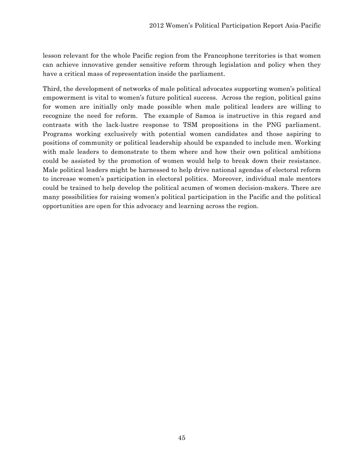lesson relevant for the whole Pacific region from the Francophone territories is that women can achieve innovative gender sensitive reform through legislation and policy when they have a critical mass of representation inside the parliament.

Third, the development of networks of male political advocates supporting women's political empowerment is vital to women's future political success. Across the region, political gains for women are initially only made possible when male political leaders are willing to recognize the need for reform. The example of Samoa is instructive in this regard and contrasts with the lack-lustre response to TSM propositions in the PNG parliament. Programs working exclusively with potential women candidates and those aspiring to positions of community or political leadership should be expanded to include men. Working with male leaders to demonstrate to them where and how their own political ambitions could be assisted by the promotion of women would help to break down their resistance. Male political leaders might be harnessed to help drive national agendas of electoral reform to increase women's participation in electoral politics. Moreover, individual male mentors could be trained to help develop the political acumen of women decision-makers. There are many possibilities for raising women's political participation in the Pacific and the political opportunities are open for this advocacy and learning across the region.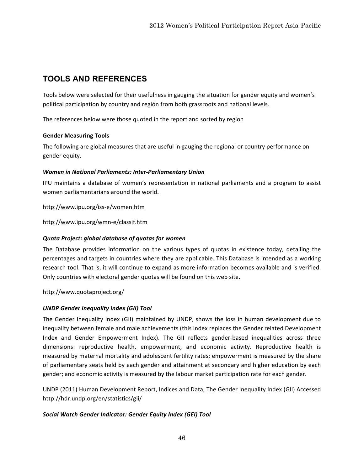# **TOOLS AND REFERENCES**

Tools below were selected for their usefulness in gauging the situation for gender equity and women's political participation by country and región from both grassroots and national levels.

The references below were those quoted in the report and sorted by region

#### **Gender Measuring Tools**

The following are global measures that are useful in gauging the regional or country performance on gender equity.

#### *Women in National Parliaments: Inter‐Parliamentary Union*

IPU maintains a database of women's representation in national parliaments and a program to assist women parliamentarians around the world.

http://www.ipu.org/iss‐e/women.htm

http://www.ipu.org/wmn‐e/classif.htm

### *Quota Project: global database of quotas for women*

The Database provides information on the various types of quotas in existence today, detailing the percentages and targets in countries where they are applicable. This Database is intended as a working research tool. That is, it will continue to expand as more information becomes available and is verified. Only countries with electoral gender quotas will be found on this web site.

http://www.quotaproject.org/

### *UNDP Gender Inequality Index (GII) Tool*

The Gender Inequality Index (GII) maintained by UNDP, shows the loss in human development due to inequality between female and male achievements (this Index replaces the Gender related Development Index and Gender Empowerment Index). The GII reflects gender-based inequalities across three dimensions: reproductive health, empowerment, and economic activity. Reproductive health is measured by maternal mortality and adolescent fertility rates; empowerment is measured by the share of parliamentary seats held by each gender and attainment at secondary and higher education by each gender; and economic activity is measured by the labour market participation rate for each gender.

UNDP (2011) Human Development Report, Indices and Data, The Gender Inequality Index (GII) Accessed http://hdr.undp.org/en/statistics/gii/

### *Social Watch Gender Indicator: Gender Equity Index (GEI) Tool*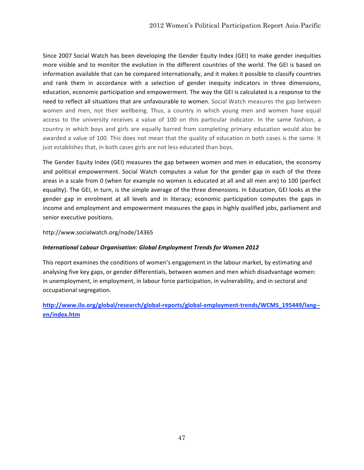Since 2007 Social Watch has been developing the Gender Equity Index (GEI) to make gender inequities more visible and to monitor the evolution in the different countries of the world. The GEI is based on information available that can be compared internationally, and it makes it possible to classify countries and rank them in accordance with a selection of gender inequity indicators in three dimensions, education, economic participation and empowerment. The way the GEI is calculated is a response to the need to reflect all situations that are unfavourable to women. Social Watch measures the gap between women and men, not their wellbeing. Thus, a country in which young men and women have equal access to the university receives a value of 100 on this particular indicator. In the same fashion, a country in which boys and girls are equally barred from completing primary education would also be awarded a value of 100. This does not mean that the quality of education in both cases is the same. It just establishes that, in both cases girls are not less educated than boys.

The Gender Equity Index (GEI) measures the gap between women and men in education, the economy and political empowerment. Social Watch computes a value for the gender gap in each of the three areas in a scale from 0 (when for example no women is educated at all and all men are) to 100 (perfect equality). The GEI, in turn, is the simple average of the three dimensions. In Education, GEI looks at the gender gap in enrolment at all levels and in literacy; economic participation computes the gaps in income and employment and empowerment measures the gaps in highly qualified jobs, parliament and senior executive positions.

#### http://www.socialwatch.org/node/14365

#### *International Labour Organisation: Global Employment Trends for Women 2012*

This report examines the conditions of women's engagement in the labour market, by estimating and analysing five key gaps, or gender differentials, between women and men which disadvantage women: in unemployment, in employment, in labour force participation, in vulnerability, and in sectoral and occupational segregation.

# **http://www.ilo.org/global/research/global‐reports/global‐employment‐trends/WCMS\_195449/lang‐‐ en/index.htm**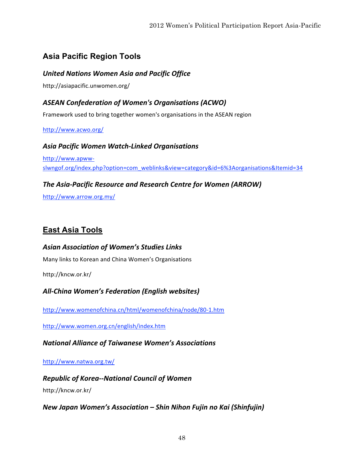# **Asia Pacific Region Tools**

# *United Nations Women Asia and Pacific Office*

http://asiapacific.unwomen.org/

# *ASEAN Confederation of Women's Organisations (ACWO)*

Framework used to bring together women's organisations in the ASEAN region

#### http://www.acwo.org/

*Asia Pacific Women Watch‐Linked Organisations* http://www.apww‐ slwngof.org/index.php?option=com\_weblinks&view=category&id=6%3Aorganisations&Itemid=34

# *The Asia‐Pacific Resource and Research Centre for Women (ARROW)*

http://www.arrow.org.my/

# **East Asia Tools**

*Asian Association of Women's Studies Links* Many links to Korean and China Women's Organisations

http://kncw.or.kr/

# *All‐China Women's Federation (English websites)*

http://www.womenofchina.cn/html/womenofchina/node/80‐1.htm

http://www.women.org.cn/english/index.htm

*National Alliance of Taiwanese Women's Associations*

http://www.natwa.org.tw/

*Republic of Korea‐‐National Council of Women* http://kncw.or.kr/

*New Japan Women's Association – Shin Nihon Fujin no Kai (Shinfujin)*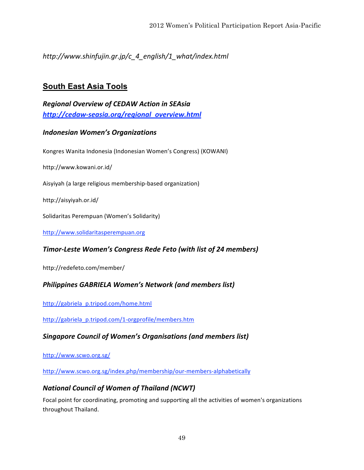*http://www.shinfujin.gr.jp/c\_4\_english/1\_what/index.html*

# **South East Asia Tools**

*Regional Overview of CEDAW Action in SEAsia http://cedaw‐seasia.org/regional\_overview.html*

# *Indonesian Women's Organizations*

Kongres Wanita Indonesia (Indonesian Women's Congress) (KOWANI)

http://www.kowani.or.id/

Aisyiyah (a large religious membership‐based organization)

http://aisyiyah.or.id/

Solidaritas Perempuan (Women's Solidarity)

http://www.solidaritasperempuan.org

# *Timor‐Leste Women's Congress Rede Feto (with list of 24 members)*

http://redefeto.com/member/

# *Philippines GABRIELA Women's Network (and members list)*

http://gabriela\_p.tripod.com/home.html

http://gabriela\_p.tripod.com/1‐orgprofile/members.htm

*Singapore Council of Women's Organisations (and members list)*

http://www.scwo.org.sg/

http://www.scwo.org.sg/index.php/membership/our-members-alphabetically

# *National Council of Women of Thailand (NCWT)*

Focal point for coordinating, promoting and supporting all the activities of women's organizations throughout Thailand.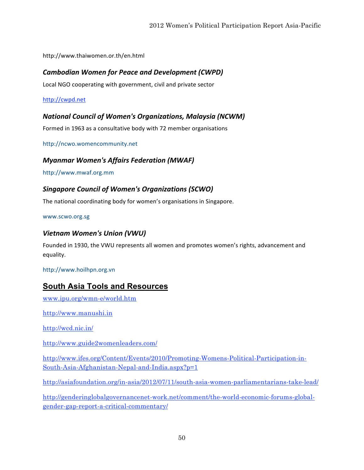http://www.thaiwomen.or.th/en.html

### *Cambodian Women for Peace and Development (CWPD)*

Local NGO cooperating with government, civil and private sector

http://cwpd.net

### *National Council of Women's Organizations, Malaysia (NCWM)*

Formed in 1963 as a consultative body with 72 member organisations

http://ncwo.womencommunity.net

### *Myanmar Women's Affairs Federation (MWAF)*

http://www.mwaf.org.mm

# *Singapore Council of Women's Organizations (SCWO)*

The national coordinating body for women's organisations in Singapore.

www.scwo.org.sg

#### *Vietnam Women's Union (VWU)*

Founded in 1930, the VWU represents all women and promotes women's rights, advancement and equality.

http://www.hoilhpn.org.vn

# **South Asia Tools and Resources**

www.ipu.org/wmn-e/world.htm

http://www.manushi.in

http://wcd.nic.in/

http://www.guide2womenleaders.com/

http://www.ifes.org/Content/Events/2010/Promoting-Womens-Political-Participation-in-South-Asia-Afghanistan-Nepal-and-India.aspx?p=1

http://asiafoundation.org/in-asia/2012/07/11/south-asia-women-parliamentarians-take-lead/

http://genderinglobalgovernancenet-work.net/comment/the-world-economic-forums-globalgender-gap-report-a-critical-commentary/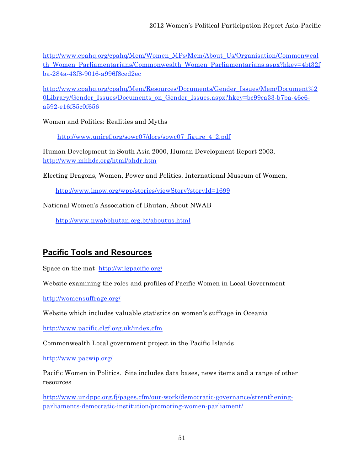http://www.cpahq.org/cpahq/Mem/Women\_MPs/Mem/About\_Us/Organisation/Commonweal th Women Parliamentarians/Commonwealth Women Parliamentarians.aspx?hkey=4bf32f ba-284a-43f8-9016-a996f8ced2ec

http://www.cpahq.org/cpahq/Mem/Resources/Documents/Gender\_Issues/Mem/Document%2 0Library/Gender\_Issues/Documents\_on\_Gender\_Issues.aspx?hkey=bc99ca33-b7ba-46e6 a592-e16f85c0f656

Women and Politics: Realities and Myths

http://www.unicef.org/sowc07/docs/sowc07\_figure\_4\_2.pdf

Human Development in South Asia 2000, Human Development Report 2003, http://www.mhhdc.org/html/ahdr.htm

Electing Dragons, Women, Power and Politics, International Museum of Women,

http://www.imow.org/wpp/stories/viewStory?storyId=1699

National Women's Association of Bhutan, About NWAB

http://www.nwabbhutan.org.bt/aboutus.html

# **Pacific Tools and Resources**

Space on the mat http://wilgpacific.org/

Website examining the roles and profiles of Pacific Women in Local Government

http://womensuffrage.org/

Website which includes valuable statistics on women's suffrage in Oceania

http://www.pacific.clgf.org.uk/index.cfm

Commonwealth Local government project in the Pacific Islands

http://www.pacwip.org/

Pacific Women in Politics. Site includes data bases, news items and a range of other resources

http://www.undppc.org.fj/pages.cfm/our-work/democratic-governance/strentheningparliaments-democratic-institution/promoting-women-parliament/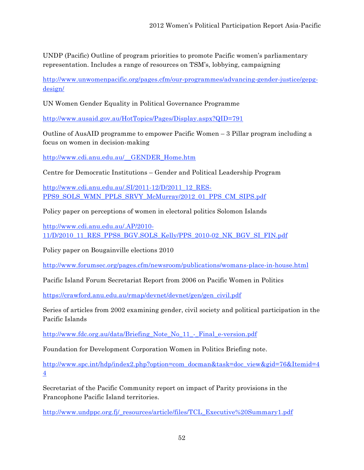UNDP (Pacific) Outline of program priorities to promote Pacific women's parliamentary representation. Includes a range of resources on TSM's, lobbying, campaigning

http://www.unwomenpacific.org/pages.cfm/our-programmes/advancing-gender-justice/gepgdesign/

UN Women Gender Equality in Political Governance Programme

http://www.ausaid.gov.au/HotTopics/Pages/Display.aspx?QID=791

Outline of AusAID programme to empower Pacific Women – 3 Pillar program including a focus on women in decision-making

http://www.cdi.anu.edu.au/\_\_GENDER\_Home.htm

Centre for Democratic Institutions – Gender and Political Leadership Program

http://www.cdi.anu.edu.au/.SI/2011-12/D/2011\_12\_RES-PPS9\_SOLS\_WMN\_PPLS\_SRVY\_McMurray/2012\_01\_PPS\_CM\_SIPS.pdf

Policy paper on perceptions of women in electoral politics Solomon Islands

http://www.cdi.anu.edu.au/.AP/2010- 11/D/2010\_11\_RES\_PPS8\_BGV.SOLS\_Kelly/PPS\_2010-02\_NK\_BGV\_SI\_FIN.pdf

Policy paper on Bougainville elections 2010

http://www.forumsec.org/pages.cfm/newsroom/publications/womans-place-in-house.html

Pacific Island Forum Secretariat Report from 2006 on Pacific Women in Politics

https://crawford.anu.edu.au/rmap/devnet/devnet/gen/gen\_civil.pdf

Series of articles from 2002 examining gender, civil society and political participation in the Pacific Islands

http://www.fdc.org.au/data/Briefing\_Note\_No\_11\_-\_Final\_e-version.pdf

Foundation for Development Corporation Women in Politics Briefing note.

http://www.spc.int/hdp/index2.php?option=com\_docman&task=doc\_view&gid=76&Itemid=4 4

Secretariat of the Pacific Community report on impact of Parity provisions in the Francophone Pacific Island territories.

http://www.undppc.org.fj/\_resources/article/files/TCL\_Executive%20Summary1.pdf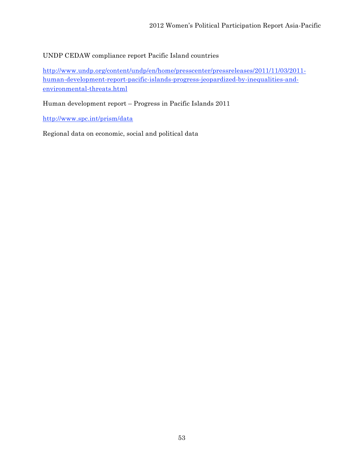# UNDP CEDAW compliance report Pacific Island countries

http://www.undp.org/content/undp/en/home/presscenter/pressreleases/2011/11/03/2011 human-development-report-pacific-islands-progress-jeopardized-by-inequalities-andenvironmental-threats.html

Human development report – Progress in Pacific Islands 2011

http://www.spc.int/prism/data

Regional data on economic, social and political data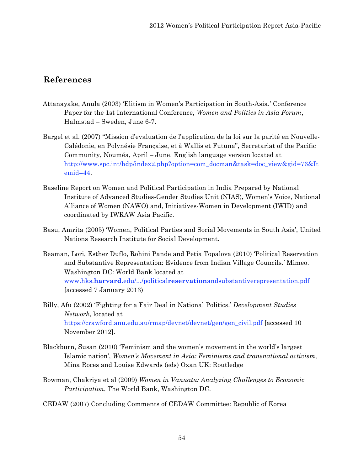# **References**

- Attanayake, Anula (2003) 'Elitism in Women's Participation in South-Asia.' Conference Paper for the 1st International Conference, *Women and Politics in Asia Forum*, Halmstad – Sweden, June 6-7.
- Bargel et al. (2007) "Mission d'evaluation de l'application de la loi sur la parité en Nouvelle-Calédonie, en Polynésie Française, et à Wallis et Futuna", Secretariat of the Pacific Community, Nouméa, April – June. English language version located at http://www.spc.int/hdp/index2.php?option=com\_docman&task=doc\_view&gid=76&It emid=44.
- Baseline Report on Women and Political Participation in India Prepared by National Institute of Advanced Studies-Gender Studies Unit (NIAS), Women's Voice, National Alliance of Women (NAWO) and, Initiatives-Women in Development (IWID) and coordinated by IWRAW Asia Pacific.
- Basu, Amrita (2005) 'Women, Political Parties and Social Movements in South Asia', United Nations Research Institute for Social Development.
- Beaman, Lori, Esther Duflo, Rohini Pande and Petia Topalova (2010) 'Political Reservation and Substantive Representation: Evidence from Indian Village Councils.' Mimeo. Washington DC: World Bank located at www.hks.**harvard**.edu/.../political**reservation**andsubstantiverepresentation.pdf [accessed 7 January 2013)
- Billy, Afu (2002) 'Fighting for a Fair Deal in National Politics.' *Development Studies Network*, located at https://crawford.anu.edu.au/rmap/devnet/devnet/gen/gen\_civil.pdf [accessed 10 November 2012].
- Blackburn, Susan (2010) 'Feminism and the women's movement in the world's largest Islamic nation', *Women's Movement in Asia: Feminisms and transnational activism*, Mina Roces and Louise Edwards (eds) Oxan UK: Routledge
- Bowman, Chakriya et al (2009) *Women in Vanuatu: Analyzing Challenges to Economic Participation*, The World Bank, Washington DC.
- CEDAW (2007) Concluding Comments of CEDAW Committee: Republic of Korea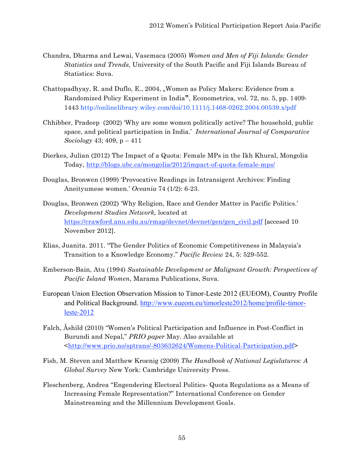- Chandra, Dharma and Lewai, Vasemaca (2005) *Women and Men of Fiji Islands: Gender Statistics and Trends,* University of the South Pacific and Fiji Islands Bureau of Statistics: Suva.
- Chattopadhyay, R. and Duflo, E., 2004, "Women as Policy Makers: Evidence from a Randomized Policy Experiment in India", Econometrica, vol. 72, no. 5, pp. 1409- 1443 http://onlinelibrary.wiley.com/doi/10.1111/j.1468-0262.2004.00539.x/pdf
- Chhibber, Pradeep (2002) 'Why are some women politically active? The household, public space, and political participation in India.' *International Journal of Comparative Sociology* 43; 409, p – 411
- Dierkes, Julian (2012) The Impact of a Quota: Female MPs in the Ikh Khural, Mongolia Today, http://blogs.ubc.ca/mongolia/2012/impact-of-quota-female-mps/
- Douglas, Bronwen (1999) 'Provocative Readings in Intransigent Archives: Finding Aneityumese women.' *Oceania* 74 (1/2): 6-23.
- Douglas, Bronwen (2002) 'Why Religion, Race and Gender Matter in Pacific Politics.' *Development Studies Network,* located at https://crawford.anu.edu.au/rmap/devnet/devnet/gen/gen\_civil.pdf [accesed 10 November 2012].
- Elias, Juanita. 2011. "The Gender Politics of Economic Competitiveness in Malaysia's Transition to a Knowledge Economy." *Pacific Review* 24, 5: 529-552.
- Emberson-Bain, Atu (1994) *Sustainable Development or Malignant Growth: Perspectives of Pacific Island Women*, Marama Publications, Suva.
- European Union Election Observation Mission to Timor-Leste 2012 (EUEOM), Country Profile and Political Background. http://www.eueom.eu/timorleste2012/home/profile-timorleste-2012
- Falch, Åshild (2010) "Women's Political Participation and Influence in Post-Conflict in Burundi and Nepal," *PRIO paper* May. Also available at <http://www.prio.no/sptrans/-803632624/Womens-Political-Participation.pdf>
- Fish, M. Steven and Matthew Kroenig (2009) *The Handbook of National Legislatures: A Global Survey* New York: Cambridge University Press.
- Fleschenberg, Andrea "Engendering Electoral Politics- Quota Regulations as a Means of Increasing Female Representation?" International Conference on Gender Mainstreaming and the Millennium Development Goals.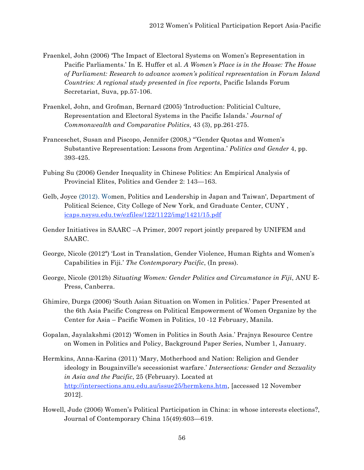- Fraenkel, John (2006) 'The Impact of Electoral Systems on Women's Representation in Pacific Parliaments.' In E. Huffer et al. *A Women's Place is in the House: The House of Parliament: Research to advance women's political representation in Forum Island Countries: A regional study presented in five reports*, Pacific Islands Forum Secretariat, Suva, pp.57-106.
- Fraenkel, John, and Grofman, Bernard (2005) 'Introduction: Politicial Culture, Representation and Electoral Systems in the Pacific Islands.' *Journal of Commonwealth and Comparative Politics*, 43 (3), pp.261-275.
- Franceschet, Susan and Piscopo, Jennifer (2008,) "'Gender Quotas and Women's Substantive Representation: Lessons from Argentina.' *Politics and Gender* 4, pp. 393-425.
- Fubing Su (2006) Gender Inequality in Chinese Politics: An Empirical Analysis of Provincial Elites, Politics and Gender 2: 143—163.
- Gelb, Joyce (2012). Women, Politics and Leadership in Japan and Taiwan', Department of Political Science, City College of New York, and Graduate Center, CUNY , icaps.nsysu.edu.tw/ezfiles/122/1122/img/1421/15.pdf
- Gender Initiatives in SAARC –A Primer, 2007 report jointly prepared by UNIFEM and SAARC.
- George, Nicole (2012ª) 'Lost in Translation, Gender Violence, Human Rights and Women's Capabilities in Fiji.' *The Contemporary Pacific*, (In press).
- George, Nicole (2012b) *Situating Women: Gender Politics and Circumstance in Fiji*, ANU E-Press, Canberra.
- Ghimire, Durga (2006) 'South Asian Situation on Women in Politics.' Paper Presented at the 6th Asia Pacific Congress on Political Empowerment of Women Organize by the Center for Asia – Pacific Women in Politics, 10 -12 February, Manila.
- Gopalan, Jayalakshmi (2012) 'Women in Politics in South Asia.' Prajnya Resource Centre on Women in Politics and Policy, Background Paper Series, Number 1, January.
- Hermkins, Anna-Karina (2011) 'Mary, Motherhood and Nation: Religion and Gender ideology in Bougainville's secessionist warfare.' *Intersections: Gender and Sexuality in Asia and the Pacific*, 25 (February). Located at http://intersections.anu.edu.au/issue25/hermkens.htm, [accessed 12 November 2012].
- Howell, Jude (2006) Women's Political Participation in China: in whose interests elections?, Journal of Contemporary China 15(49):603—619.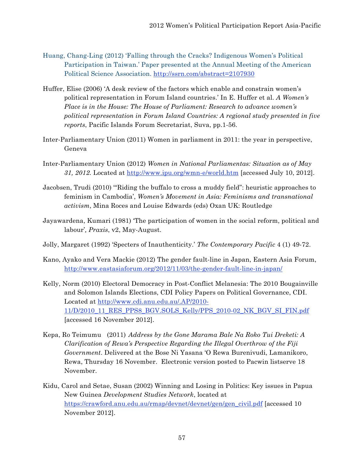- Huang, Chang-Ling (2012) 'Falling through the Cracks? Indigenous Women's Political Participation in Taiwan.' Paper presented at the Annual Meeting of the American Political Science Association. http://ssrn.com/abstract=2107930
- Huffer, Elise (2006) 'A desk review of the factors which enable and constrain women's political representation in Forum Island countries.' In E. Huffer et al. *A Women's Place is in the House: The House of Parliament: Research to advance women's political representation in Forum Island Countries: A regional study presented in five reports*, Pacific Islands Forum Secretariat, Suva, pp.1-56.
- Inter-Parliamentary Union (2011) Women in parliament in 2011: the year in perspective, Geneva
- Inter-Parliamentary Union (2012) *Women in National Parliamentas: Situation as of May 31, 2012.* Located at http://www.ipu.org/wmn-e/world.htm [accessed July 10, 2012].
- Jacobsen, Trudi (2010) '"Riding the buffalo to cross a muddy field": heuristic approaches to feminism in Cambodia', *Women's Movement in Asia: Feminisms and transnational activism*, Mina Roces and Louise Edwards (eds) Oxan UK: Routledge
- Jayawardena, Kumari (1981) 'The participation of women in the social reform, political and labour'*, Praxis*, v2, May-August.
- Jolly, Margaret (1992) 'Specters of Inauthenticity.' *The Contemporary Pacific* 4 (1) 49-72.
- Kano, Ayako and Vera Mackie (2012) The gender fault-line in Japan, Eastern Asia Forum, http://www.eastasiaforum.org/2012/11/03/the-gender-fault-line-in-japan/
- Kelly, Norm (2010) Electoral Democracy in Post-Conflict Melanesia: The 2010 Bougainville and Solomon Islands Elections, CDI Policy Papers on Political Governance, CDI. Located at http://www.cdi.anu.edu.au/.AP/2010- 11/D/2010\_11\_RES\_PPS8\_BGV.SOLS\_Kelly/PPS\_2010-02\_NK\_BGV\_SI\_FIN.pdf [accessed 16 November 2012].
- Kepa, Ro Teimumu (2011) *Address by the Gone Marama Bale Na Roko Tui Dreketi: A Clarification of Rewa's Perspective Regarding the Illegal Overthrow of the Fiji Government*. Delivered at the Bose Ni Yasana 'O Rewa Burenivudi, Lamanikoro, Rewa, Thursday 16 November. Electronic version posted to Pacwin listserve 18 November.
- Kidu, Carol and Setae, Susan (2002) Winning and Losing in Politics: Key issues in Papua New Guinea *Development Studies Network*, located at https://crawford.anu.edu.au/rmap/devnet/devnet/gen/gen\_civil.pdf [accessed 10 November 2012].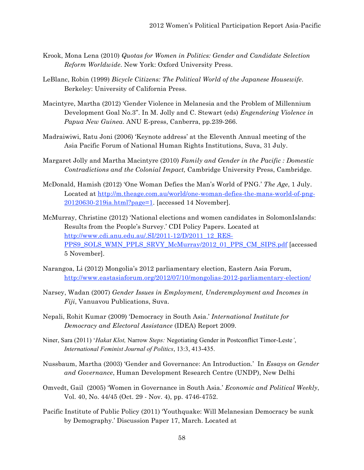- Krook, Mona Lena (2010) *Quotas for Women in Politics: Gender and Candidate Selection Reform Worldwide*. New York: Oxford University Press.
- LeBlanc, Robin (1999) *Bicycle Citizens: The Political World of the Japanese Housewife*. Berkeley: University of California Press.
- Macintyre, Martha (2012) 'Gender Violence in Melanesia and the Problem of Millennium Development Goal No.3". In M. Jolly and C. Stewart (eds) *Engendering Violence in Papua New Guinea*. ANU E-press, Canberra, pp.239-266.
- Madraiwiwi, Ratu Joni (2006) 'Keynote address' at the Eleventh Annual meeting of the Asia Pacific Forum of National Human Rights Institutions, Suva, 31 July.
- Margaret Jolly and Martha Macintyre (2010) *Family and Gender in the Pacific : Domestic Contradictions and the Colonial Impact,* Cambridge University Press, Cambridge.
- McDonald, Hamish (2012) 'One Woman Defies the Man's World of PNG.' *The Age*, 1 July. Located at http://m.theage.com.au/world/one-woman-defies-the-mans-world-of-png-20120630-219ia.html?page=1. [accessed 14 November].
- McMurray, Christine (2012) 'National elections and women candidates in SolomonIslands: Results from the People's Survey.' CDI Policy Papers. Located at http://www.cdi.anu.edu.au/.SI/2011-12/D/2011\_12\_RES-PPS9\_SOLS\_WMN\_PPLS\_SRVY\_McMurray/2012\_01\_PPS\_CM\_SIPS.pdf [accessed 5 November].
- Narangoa, Li (2012) Mongolia's 2012 parliamentary election, Eastern Asia Forum, http://www.eastasiaforum.org/2012/07/10/mongolias-2012-parliamentary-election/
- Narsey, Wadan (2007) *Gender Issues in Employment, Underemployment and Incomes in Fiji*, Vanuavou Publications, Suva.
- Nepali, Rohit Kumar (2009) 'Democracy in South Asia.' *International Institute for Democracy and Electoral Assistance* (IDEA) Report 2009.
- Niner, Sara (2011) '*Hakat Klot,* Narrow *Steps:* Negotiating Gender in Postconflict Timor-Leste*'*, *International Feminist Journal of Politics*, 13:3, 413-435.
- Nussbaum, Martha (2003) 'Gender and Governance: An Introduction.' In *Essays on Gender and Governance*, Human Development Research Centre (UNDP), New Delhi
- Omvedt, Gail (2005) 'Women in Governance in South Asia.' *Economic and Political Weekly*, Vol. 40, No. 44/45 (Oct. 29 - Nov. 4), pp. 4746-4752.
- Pacific Institute of Public Policy (2011) 'Youthquake: Will Melanesian Democracy be sunk by Demography.' Discussion Paper 17, March. Located at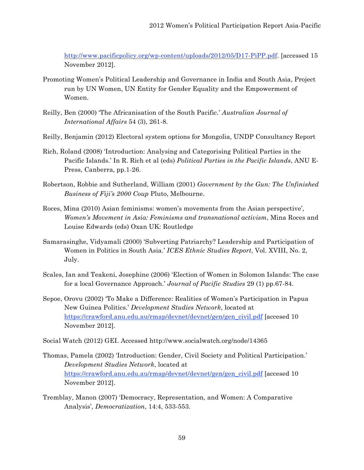http://www.pacificpolicy.org/wp-content/uploads/2012/05/D17-PiPP.pdf. [accessed 15 November 2012].

- Promoting Women's Political Leadership and Governance in India and South Asia, Project run by UN Women, UN Entity for Gender Equality and the Empowerment of Women.
- Reilly, Ben (2000) 'The Africanisation of the South Pacific.' *Australian Journal of International Affairs* 54 (3), 261-8.
- Reilly, Benjamin (2012) Electoral system options for Mongolia, UNDP Consultancy Report
- Rich, Roland (2008) 'Introduction: Analysing and Categorising Political Parties in the Pacific Islands.' In R. Rich et al (eds) *Political Parties in the Pacific Islands*, ANU E-Press, Canberra, pp.1-26.
- Robertson, Robbie and Sutherland, William (2001) *Government by the Gun: The Unfinished Business of Fiji's 2000 Coup* Pluto, Melbourne.
- Roces, Mina (2010) Asian feminisms: women's movements from the Asian perspective', *Women's Movement in Asia: Feminisms and transnational activism*, Mina Roces and Louise Edwards (eds) Oxan UK: Routledge
- Samarasinghe, Vidyamali (2000) 'Subverting Patriarchy? Leadership and Participation of Women in Politics in South Asia.' *ICES Ethnic Studies Report*, Vol. XVIII, No. 2, July.
- Scales, Ian and Teakeni, Josephine (2006) 'Election of Women in Solomon Islands: The case for a local Governance Approach.' *Journal of Pacific Studies* 29 (1) pp.67-84.
- Sepoe, Orovu (2002) 'To Make a Difference: Realities of Women's Participation in Papua New Guinea Politics.' *Development Studies Network*, located at https://crawford.anu.edu.au/rmap/devnet/devnet/gen/gen\_civil.pdf [accesed 10 November 2012].
- Social Watch (2012) GEI. Accessed http://www.socialwatch.org/node/14365
- Thomas, Pamela (2002) 'Introduction: Gender, Civil Society and Political Participation.' *Development Studies Network*, located at https://crawford.anu.edu.au/rmap/devnet/devnet/gen/gen\_civil.pdf [accesed 10 November 2012].
- Tremblay, Manon (2007) 'Democracy, Representation, and Women: A Comparative Analysis', *Democratization*, 14:4, 533-553.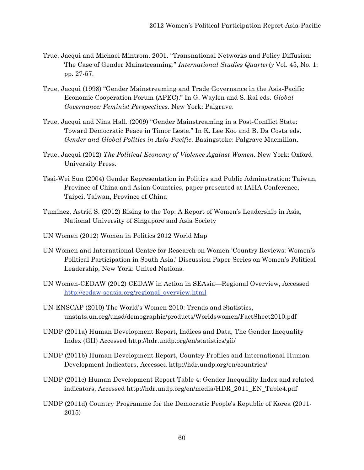- True, Jacqui and Michael Mintrom. 2001. "Transnational Networks and Policy Diffusion: The Case of Gender Mainstreaming." *International Studies Quarterly* Vol. 45, No. 1: pp. 27-57.
- True, Jacqui (1998) "Gender Mainstreaming and Trade Governance in the Asia-Pacific Economic Cooperation Forum (APEC)." In G. Waylen and S. Rai eds. *Global Governance: Feminist Perspectives.* New York: Palgrave.
- True, Jacqui and Nina Hall. (2009) "Gender Mainstreaming in a Post-Conflict State: Toward Democratic Peace in Timor Leste." In K. Lee Koo and B. Da Costa eds. *Gender and Global Politics in Asia-Pacific*. Basingstoke: Palgrave Macmillan.
- True, Jacqui (2012) *The Political Economy of Violence Against Women*. New York: Oxford University Press.
- Tsai-Wei Sun (2004) Gender Representation in Politics and Public Adminstration: Taiwan, Province of China and Asian Countries, paper presented at IAHA Conference, Taipei, Taiwan, Province of China
- Tuminez, Astrid S. (2012) Rising to the Top: A Report of Women's Leadership in Asia, National University of Singapore and Asia Society
- UN Women (2012) Women in Politics 2012 World Map
- UN Women and International Centre for Research on Women 'Country Reviews: Women's Political Participation in South Asia.' Discussion Paper Series on Women's Political Leadership, New York: United Nations.
- UN Women-CEDAW (2012) CEDAW in Action in SEAsia—Regional Overview, Accessed http://cedaw-seasia.org/regional\_overview.html
- UN-ENSCAP (2010) The World's Women 2010: Trends and Statistics, unstats.un.org/unsd/demographic/products/Worldswomen/FactSheet2010.pdf
- UNDP (2011a) Human Development Report, Indices and Data, The Gender Inequality Index (GII) Accessed http://hdr.undp.org/en/statistics/gii/
- UNDP (2011b) Human Development Report, Country Profiles and International Human Development Indicators, Accessed http://hdr.undp.org/en/countries/
- UNDP (2011c) Human Development Report Table 4: Gender Inequality Index and related indicators, Accessed http://hdr.undp.org/en/media/HDR\_2011\_EN\_Table4.pdf
- UNDP (2011d) Country Programme for the Democratic People's Republic of Korea (2011- 2015)